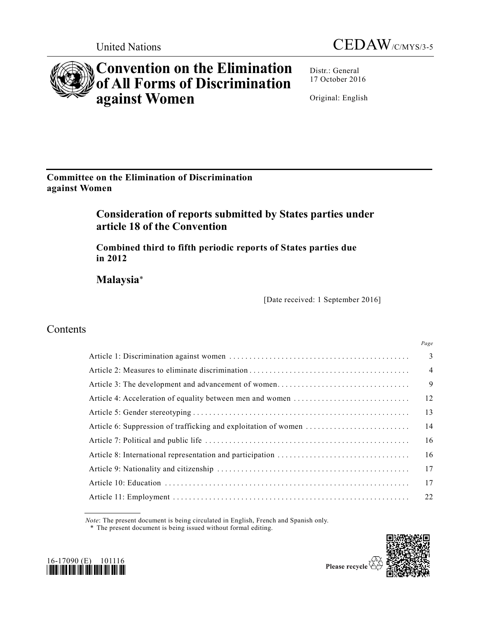



# **Convention on the Elimination of All Forms of Discrimination against Women**

Distr.: General 17 October 2016

Original: English

**Committee on the Elimination of Discrimination against Women**

# **Consideration of reports submitted by States parties under article 18 of the Convention**

**Combined third to fifth periodic reports of States parties due in 2012**

**Malaysia**\*

[Date received: 1 September 2016]

## Contents

|  | Page           |
|--|----------------|
|  | 3              |
|  | $\overline{4}$ |
|  | 9              |
|  | 12             |
|  | 13             |
|  | 14             |
|  | 16             |
|  | 16             |
|  | 17             |
|  | 17             |
|  | 22             |

*Note*: The present document is being circulated in English, French and Spanish only.

\* The present document is being issued without formal editing.



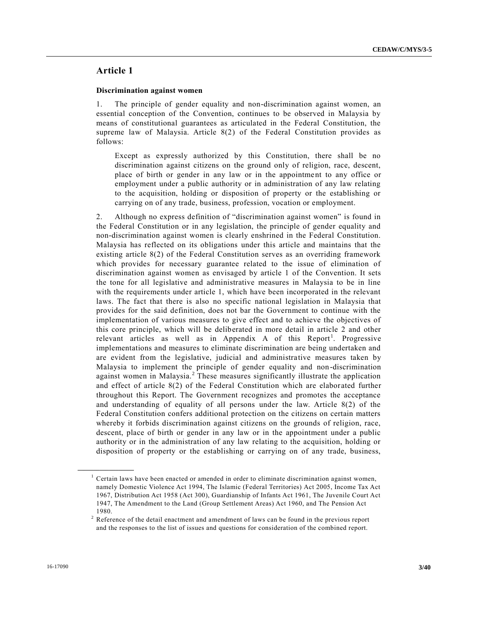### **Article 1**

### **Discrimination against women**

1. The principle of gender equality and non-discrimination against women, an essential conception of the Convention, continues to be observed in Malaysia by means of constitutional guarantees as articulated in the Federal Constitution, the supreme law of Malaysia. Article 8(2) of the Federal Constitution provides as follows:

Except as expressly authorized by this Constitution, there shall be no discrimination against citizens on the ground only of religion, race, descent, place of birth or gender in any law or in the appointment to any office or employment under a public authority or in administration of any law relating to the acquisition, holding or disposition of property or the establishing or carrying on of any trade, business, profession, vocation or employment.

2. Although no express definition of "discrimination against women" is found in the Federal Constitution or in any legislation, the principle of gender equality and non-discrimination against women is clearly enshrined in the Federal Constitution. Malaysia has reflected on its obligations under this article and maintains that the existing article 8(2) of the Federal Constitution serves as an overriding framework which provides for necessary guarantee related to the issue of elimination of discrimination against women as envisaged by article 1 of the Convention. It sets the tone for all legislative and administrative measures in Malaysia to be in line with the requirements under article 1, which have been incorporated in the relevant laws. The fact that there is also no specific national legislation in Malaysia that provides for the said definition, does not bar the Government to continue with the implementation of various measures to give effect and to achieve the objectives of this core principle, which will be deliberated in more detail in article 2 and other relevant articles as well as in Appendix A of this Report<sup>1</sup>. Progressive implementations and measures to eliminate discrimination are being undertaken and are evident from the legislative, judicial and administrative measures taken by Malaysia to implement the principle of gender equality and non-discrimination against women in Malaysia.<sup>2</sup> These measures significantly illustrate the application and effect of article 8(2) of the Federal Constitution which are elaborated further throughout this Report. The Government recognizes and promotes the acceptance and understanding of equality of all persons under the law. Article 8(2) of the Federal Constitution confers additional protection on the citizens on certain matters whereby it forbids discrimination against citizens on the grounds of religion, race, descent, place of birth or gender in any law or in the appointment under a public authority or in the administration of any law relating to the acquisition, holding or disposition of property or the establishing or carrying on of any trade, business,

**\_\_\_\_\_\_\_\_\_\_\_\_\_\_\_\_\_\_**

<sup>&</sup>lt;sup>1</sup> Certain laws have been enacted or amended in order to eliminate discrimination against women, namely Domestic Violence Act 1994, The Islamic (Federal Territories) Act 2005, Income Tax Act 1967, Distribution Act 1958 (Act 300), Guardianship of Infants Act 1961, The Juvenile Court Act 1947, The Amendment to the Land (Group Settlement Areas) Act 1960, and The Pension Act 1980.

<sup>&</sup>lt;sup>2</sup> Reference of the detail enactment and amendment of laws can be found in the previous report and the responses to the list of issues and questions for consideration of the combined report.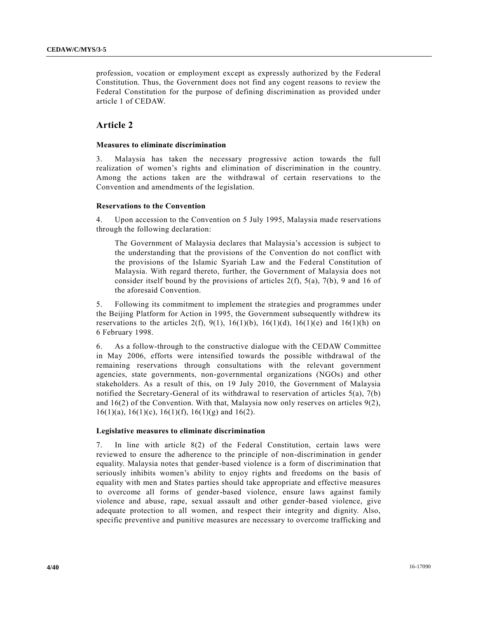profession, vocation or employment except as expressly authorized by the Federal Constitution. Thus, the Government does not find any cogent reasons to review the Federal Constitution for the purpose of defining discrimination as provided under article 1 of CEDAW.

### **Article 2**

### **Measures to eliminate discrimination**

3. Malaysia has taken the necessary progressive action towards the full realization of women's rights and elimination of discrimination in the country. Among the actions taken are the withdrawal of certain reservations to the Convention and amendments of the legislation.

### **Reservations to the Convention**

4. Upon accession to the Convention on 5 July 1995, Malaysia made reservations through the following declaration:

The Government of Malaysia declares that Malaysia's accession is subject to the understanding that the provisions of the Convention do not conflict with the provisions of the Islamic Syariah Law and the Federal Constitution of Malaysia. With regard thereto, further, the Government of Malaysia does not consider itself bound by the provisions of articles  $2(f)$ ,  $5(a)$ ,  $7(b)$ , 9 and 16 of the aforesaid Convention.

5. Following its commitment to implement the strategies and programmes under the Beijing Platform for Action in 1995, the Government subsequently withdrew its reservations to the articles 2(f), 9(1), 16(1)(b), 16(1)(d), 16(1)(e) and 16(1)(h) on 6 February 1998.

6. As a follow-through to the constructive dialogue with the CEDAW Committee in May 2006, efforts were intensified towards the possible withdrawal of the remaining reservations through consultations with the relevant government agencies, state governments, non-governmental organizations (NGOs) and other stakeholders. As a result of this, on 19 July 2010, the Government of Malaysia notified the Secretary-General of its withdrawal to reservation of articles 5(a), 7(b) and  $16(2)$  of the Convention. With that, Malaysia now only reserves on articles  $9(2)$ ,  $16(1)(a)$ ,  $16(1)(c)$ ,  $16(1)(f)$ ,  $16(1)(g)$  and  $16(2)$ .

### **Legislative measures to eliminate discrimination**

7. In line with article 8(2) of the Federal Constitution, certain laws were reviewed to ensure the adherence to the principle of non-discrimination in gender equality. Malaysia notes that gender-based violence is a form of discrimination that seriously inhibits women's ability to enjoy rights and freedoms on the basis of equality with men and States parties should take appropriate and effective measures to overcome all forms of gender-based violence, ensure laws against family violence and abuse, rape, sexual assault and other gender-based violence, give adequate protection to all women, and respect their integrity and dignity. Also, specific preventive and punitive measures are necessary to overcome trafficking and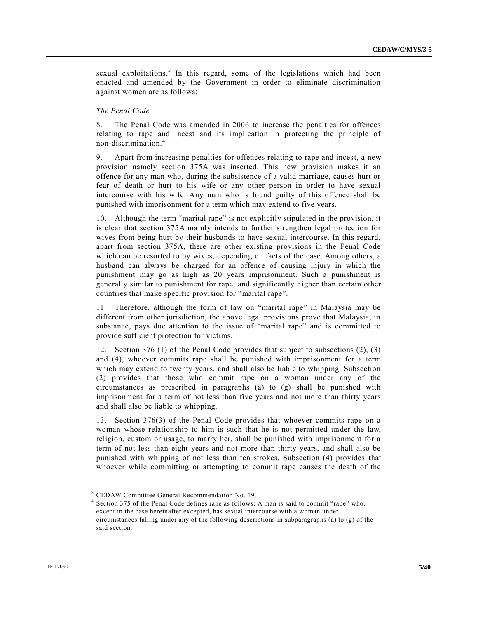sexual exploitations.<sup>3</sup> In this regard, some of the legislations which had been enacted and amended by the Government in order to eliminate discrimination against women are as follows:

### *The Penal Code*

8. The Penal Code was amended in 2006 to increase the penalties for offences relating to rape and incest and its implication in protecting the principle of non-discrimination.<sup>4</sup>

9. Apart from increasing penalties for offences relating to rape and incest, a new provision namely section 375A was inserted. This new provision makes it an offence for any man who, during the subsistence of a valid marriage, causes hurt or fear of death or hurt to his wife or any other person in order to have sexual intercourse with his wife. Any man who is found guilty of this offence shall be punished with imprisonment for a term which may extend to five years.

10. Although the term "marital rape" is not explicitly stipulated in the provision, it is clear that section 375A mainly intends to further strengthen legal protection for wives from being hurt by their husbands to have sexual intercourse. In this regard, apart from section 375A, there are other existing provisions in the Penal Code which can be resorted to by wives, depending on facts of the case. Among others, a husband can always be charged for an offence of causing injury in which the punishment may go as high as 20 years imprisonment. Such a punishment is generally similar to punishment for rape, and significantly higher than certain other countries that make specific provision for "marital rape".

11. Therefore, although the form of law on "marital rape" in Malaysia may be different from other jurisdiction, the above legal provisions prove that Malaysia, in substance, pays due attention to the issue of "marital rape" and is committed to provide sufficient protection for victims.

12. Section 376 (1) of the Penal Code provides that subject to subsections (2), (3) and (4), whoever commits rape shall be punished with imprisonment for a term which may extend to twenty years, and shall also be liable to whipping. Subsection (2) provides that those who commit rape on a woman under any of the circumstances as prescribed in paragraphs (a) to (g) shall be punished with imprisonment for a term of not less than five years and not more than thirty years and shall also be liable to whipping.

13. Section 376(3) of the Penal Code provides that whoever commits rape on a woman whose relationship to him is such that he is not permitted under the law, religion, custom or usage, to marry her, shall be punished with imprisonment for a term of not less than eight years and not more than thirty years, and shall also be punished with whipping of not less than ten strokes. Subsection (4) provides that whoever while committing or attempting to commit rape causes the death of the

**\_\_\_\_\_\_\_\_\_\_\_\_\_\_\_\_\_\_**

<sup>3</sup> CEDAW Committee General Recommendation No. 19.

<sup>4</sup> Section 375 of the Penal Code defines rape as follows: A man is said to commit "rape" who, except in the case hereinafter excepted, has sexual intercourse with a woman under circumstances falling under any of the following descriptions in subparagraphs (a) to (g) of the said section.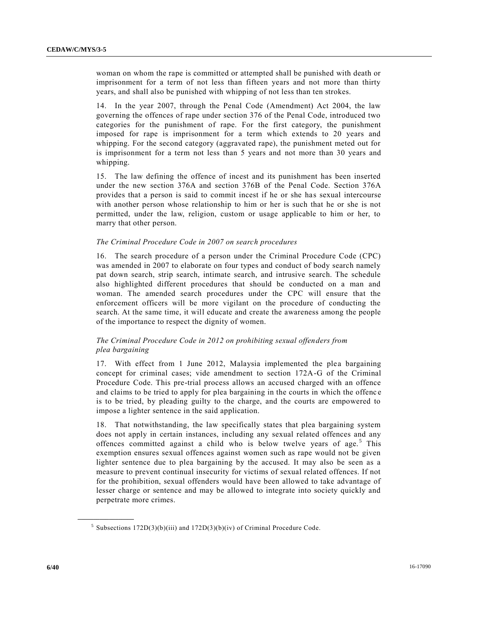woman on whom the rape is committed or attempted shall be punished with death or imprisonment for a term of not less than fifteen years and not more than thirty years, and shall also be punished with whipping of not less than ten strokes.

14. In the year 2007, through the Penal Code (Amendment) Act 2004, the law governing the offences of rape under section 376 of the Penal Code, introduced two categories for the punishment of rape. For the first category, the punishment imposed for rape is imprisonment for a term which extends to 20 years and whipping. For the second category (aggravated rape), the punishment meted out for is imprisonment for a term not less than 5 years and not more than 30 years and whipping.

15. The law defining the offence of incest and its punishment has been inserted under the new section 376A and section 376B of the Penal Code. Section 376A provides that a person is said to commit incest if he or she has sexual intercourse with another person whose relationship to him or her is such that he or she is not permitted, under the law, religion, custom or usage applicable to him or her, to marry that other person.

### *The Criminal Procedure Code in 2007 on search procedures*

16. The search procedure of a person under the Criminal Procedure Code (CPC) was amended in 2007 to elaborate on four types and conduct of body search namely pat down search, strip search, intimate search, and intrusive search. The schedule also highlighted different procedures that should be conducted on a man and woman. The amended search procedures under the CPC will ensure that the enforcement officers will be more vigilant on the procedure of conducting the search. At the same time, it will educate and create the awareness among the people of the importance to respect the dignity of women.

### *The Criminal Procedure Code in 2012 on prohibiting sexual offenders from plea bargaining*

17. With effect from 1 June 2012, Malaysia implemented the plea bargaining concept for criminal cases; vide amendment to section 172A-G of the Criminal Procedure Code. This pre-trial process allows an accused charged with an offence and claims to be tried to apply for plea bargaining in the courts in which the offenc e is to be tried, by pleading guilty to the charge, and the courts are empowered to impose a lighter sentence in the said application.

18. That notwithstanding, the law specifically states that plea bargaining system does not apply in certain instances, including any sexual related offences and any offences committed against a child who is below twelve years of age.<sup>5</sup> This exemption ensures sexual offences against women such as rape would not be given lighter sentence due to plea bargaining by the accused. It may also be seen as a measure to prevent continual insecurity for victims of sexual related offences. If not for the prohibition, sexual offenders would have been allowed to take advantage of lesser charge or sentence and may be allowed to integrate into society quickly and perpetrate more crimes.

**\_\_\_\_\_\_\_\_\_\_\_\_\_\_\_\_\_\_**

<sup>&</sup>lt;sup>5</sup> Subsections  $172D(3)(b)(iii)$  and  $172D(3)(b)(iv)$  of Criminal Procedure Code.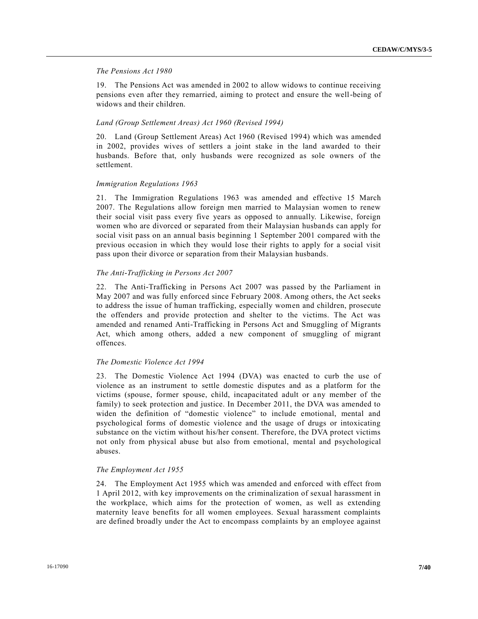### *The Pensions Act 1980*

19. The Pensions Act was amended in 2002 to allow widows to continue receiving pensions even after they remarried, aiming to protect and ensure the well-being of widows and their children.

### *Land (Group Settlement Areas) Act 1960 (Revised 1994)*

20. Land (Group Settlement Areas) Act 1960 (Revised 1994) which was amended in 2002, provides wives of settlers a joint stake in the land awarded to their husbands. Before that, only husbands were recognized as sole owners of the settlement.

### *Immigration Regulations 1963*

21. The Immigration Regulations 1963 was amended and effective 15 March 2007. The Regulations allow foreign men married to Malaysian women to renew their social visit pass every five years as opposed to annually. Likewise, foreign women who are divorced or separated from their Malaysian husbands can apply for social visit pass on an annual basis beginning 1 September 2001 compared with the previous occasion in which they would lose their rights to apply for a social visit pass upon their divorce or separation from their Malaysian husbands.

### *The Anti-Trafficking in Persons Act 2007*

22. The Anti-Trafficking in Persons Act 2007 was passed by the Parliament in May 2007 and was fully enforced since February 2008. Among others, the Act seeks to address the issue of human trafficking, especially women and children, prosecute the offenders and provide protection and shelter to the victims. The Act was amended and renamed Anti-Trafficking in Persons Act and Smuggling of Migrants Act, which among others, added a new component of smuggling of migrant offences.

### *The Domestic Violence Act 1994*

23. The Domestic Violence Act 1994 (DVA) was enacted to curb the use of violence as an instrument to settle domestic disputes and as a platform for the victims (spouse, former spouse, child, incapacitated adult or any member of the family) to seek protection and justice. In December 2011, the DVA was amended to widen the definition of "domestic violence" to include emotional, mental and psychological forms of domestic violence and the usage of drugs or intoxicating substance on the victim without his/her consent. Therefore, the DVA protect victims not only from physical abuse but also from emotional, mental and psychological abuses.

### *The Employment Act 1955*

24. The Employment Act 1955 which was amended and enforced with effect from 1 April 2012, with key improvements on the criminalization of sexual harassment in the workplace, which aims for the protection of women, as well as extending maternity leave benefits for all women employees. Sexual harassment complaints are defined broadly under the Act to encompass complaints by an employee against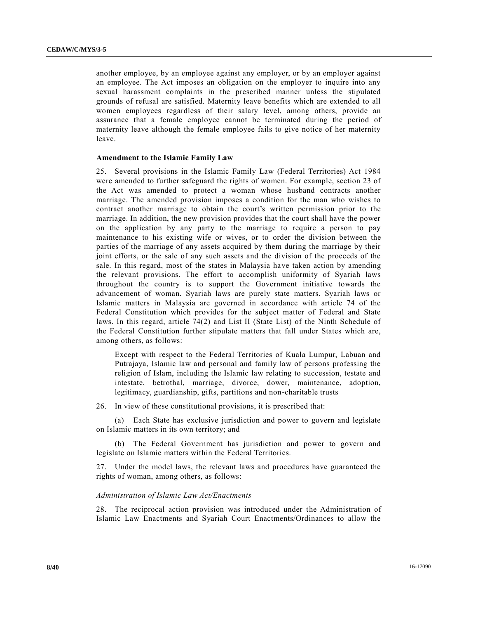another employee, by an employee against any employer, or by an employer against an employee. The Act imposes an obligation on the employer to inquire into any sexual harassment complaints in the prescribed manner unless the stipulated grounds of refusal are satisfied. Maternity leave benefits which are extended to all women employees regardless of their salary level, among others, provide an assurance that a female employee cannot be terminated during the period of maternity leave although the female employee fails to give notice of her maternity leave.

### **Amendment to the Islamic Family Law**

25. Several provisions in the Islamic Family Law (Federal Territories) Act 1984 were amended to further safeguard the rights of women. For example, section 23 of the Act was amended to protect a woman whose husband contracts another marriage. The amended provision imposes a condition for the man who wishes to contract another marriage to obtain the court's written permission prior to the marriage. In addition, the new provision provides that the court shall have the power on the application by any party to the marriage to require a person to pay maintenance to his existing wife or wives, or to order the division between the parties of the marriage of any assets acquired by them during the marriage by their joint efforts, or the sale of any such assets and the division of the proceeds of the sale. In this regard, most of the states in Malaysia have taken action by amending the relevant provisions. The effort to accomplish uniformity of Syariah laws throughout the country is to support the Government initiative towards the advancement of woman. Syariah laws are purely state matters. Syariah laws or Islamic matters in Malaysia are governed in accordance with article 74 of the Federal Constitution which provides for the subject matter of Federal and State laws. In this regard, article 74(2) and List II (State List) of the Ninth Schedule of the Federal Constitution further stipulate matters that fall under States which are, among others, as follows:

Except with respect to the Federal Territories of Kuala Lumpur, Labuan and Putrajaya, Islamic law and personal and family law of persons professing the religion of Islam, including the Islamic law relating to succession, testate and intestate, betrothal, marriage, divorce, dower, maintenance, adoption, legitimacy, guardianship, gifts, partitions and non-charitable trusts

26. In view of these constitutional provisions, it is prescribed that:

(a) Each State has exclusive jurisdiction and power to govern and legislate on Islamic matters in its own territory; and

(b) The Federal Government has jurisdiction and power to govern and legislate on Islamic matters within the Federal Territories.

27. Under the model laws, the relevant laws and procedures have guaranteed the rights of woman, among others, as follows:

### *Administration of Islamic Law Act/Enactments*

28. The reciprocal action provision was introduced under the Administration of Islamic Law Enactments and Syariah Court Enactments/Ordinances to allow the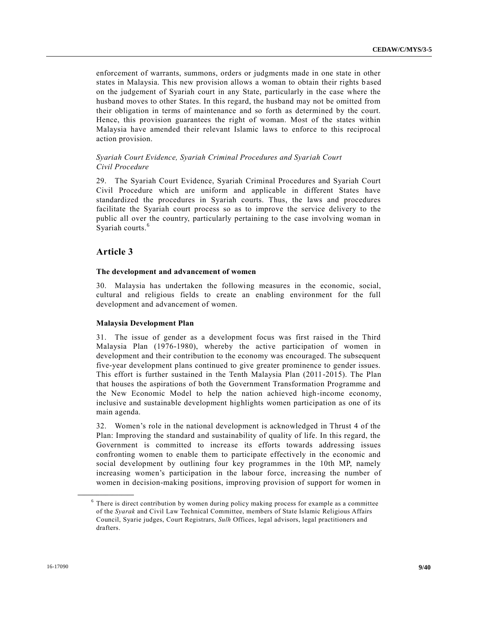enforcement of warrants, summons, orders or judgments made in one state in other states in Malaysia. This new provision allows a woman to obtain their rights b ased on the judgement of Syariah court in any State, particularly in the case where the husband moves to other States. In this regard, the husband may not be omitted from their obligation in terms of maintenance and so forth as determined by the court. Hence, this provision guarantees the right of woman. Most of the states within Malaysia have amended their relevant Islamic laws to enforce to this reciprocal action provision.

### *Syariah Court Evidence, Syariah Criminal Procedures and Syariah Court Civil Procedure*

29. The Syariah Court Evidence, Syariah Criminal Procedures and Syariah Court Civil Procedure which are uniform and applicable in different States have standardized the procedures in Syariah courts. Thus, the laws and procedures facilitate the Syariah court process so as to improve the service delivery to the public all over the country, particularly pertaining to the case involving woman in Syariah courts.<sup>6</sup>

### **Article 3**

**\_\_\_\_\_\_\_\_\_\_\_\_\_\_\_\_\_\_**

### **The development and advancement of women**

30. Malaysia has undertaken the following measures in the economic, social, cultural and religious fields to create an enabling environment for the full development and advancement of women.

### **Malaysia Development Plan**

31. The issue of gender as a development focus was first raised in the Third Malaysia Plan (1976-1980), whereby the active participation of women in development and their contribution to the economy was encouraged. The subsequent five-year development plans continued to give greater prominence to gender issues. This effort is further sustained in the Tenth Malaysia Plan (2011-2015). The Plan that houses the aspirations of both the Government Transformation Programme and the New Economic Model to help the nation achieved high-income economy, inclusive and sustainable development highlights women participation as one of its main agenda.

32. Women's role in the national development is acknowledged in Thrust 4 of the Plan: Improving the standard and sustainability of quality of life. In this regard, the Government is committed to increase its efforts towards addressing issues confronting women to enable them to participate effectively in the economic and social development by outlining four key programmes in the 10th MP, namely increasing women's participation in the labour force, increasing the number of women in decision-making positions, improving provision of support for women in

<sup>&</sup>lt;sup>6</sup> There is direct contribution by women during policy making process for example as a committee of the *Syarak* and Civil Law Technical Committee, members of State Islamic Religious Affairs Council, Syarie judges, Court Registrars, *Sulh* Offices, legal advisors, legal practitioners and drafters.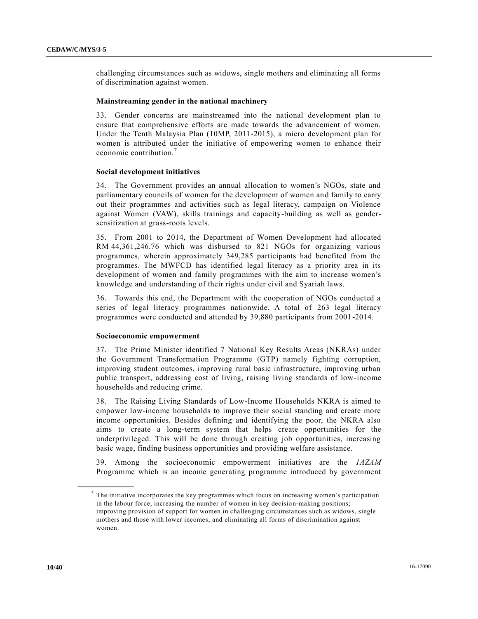challenging circumstances such as widows, single mothers and eliminating all forms of discrimination against women.

### **Mainstreaming gender in the national machinery**

33. Gender concerns are mainstreamed into the national development plan to ensure that comprehensive efforts are made towards the advancement of women. Under the Tenth Malaysia Plan (10MP, 2011-2015), a micro development plan for women is attributed under the initiative of empowering women to enhance their economic contribution.<sup>7</sup>

### **Social development initiatives**

34. The Government provides an annual allocation to women's NGOs, state and parliamentary councils of women for the development of women and family to carry out their programmes and activities such as legal literacy, campaign on Violence against Women (VAW), skills trainings and capacity-building as well as gendersensitization at grass-roots levels.

35. From 2001 to 2014, the Department of Women Development had allocated RM 44,361,246.76 which was disbursed to 821 NGOs for organizing various programmes, wherein approximately 349,285 participants had benefited from the programmes. The MWFCD has identified legal literacy as a priority area in its development of women and family programmes with the aim to increase women's knowledge and understanding of their rights under civil and Syariah laws.

36. Towards this end, the Department with the cooperation of NGOs conducted a series of legal literacy programmes nationwide. A total of 263 legal literacy programmes were conducted and attended by 39,880 participants from 2001 -2014.

#### **Socioeconomic empowerment**

37. The Prime Minister identified 7 National Key Results Areas (NKRAs) under the Government Transformation Programme (GTP) namely fighting corruption, improving student outcomes, improving rural basic infrastructure, improving urban public transport, addressing cost of living, raising living standards of low-income households and reducing crime.

38. The Raising Living Standards of Low-Income Households NKRA is aimed to empower low-income households to improve their social standing and create more income opportunities. Besides defining and identifying the poor, the NKRA also aims to create a long-term system that helps create opportunities for the underprivileged. This will be done through creating job opportunities, increasing basic wage, finding business opportunities and providing welfare assistance.

39. Among the socioeconomic empowerment initiatives are the *1AZAM* Programme which is an income generating programme introduced by government

**\_\_\_\_\_\_\_\_\_\_\_\_\_\_\_\_\_\_**

 $<sup>7</sup>$  The initiative incorporates the key programmes which focus on increasing women's participation</sup> in the labour force; increasing the number of women in key decision-making positions; improving provision of support for women in challenging circumstances such as widows, single mothers and those with lower incomes; and eliminating all forms of discrimination against women.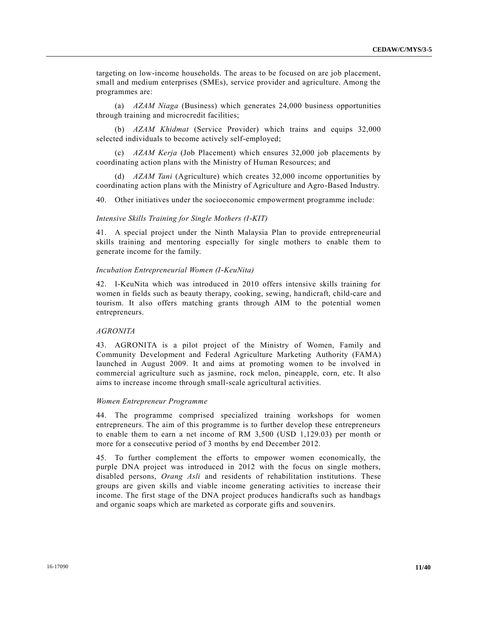targeting on low-income households. The areas to be focused on are job placement, small and medium enterprises (SMEs), service provider and agriculture. Among the programmes are:

(a) *AZAM Niaga* (Business) which generates 24,000 business opportunities through training and microcredit facilities;

(b) *AZAM Khidmat* (Service Provider) which trains and equips 32,000 selected individuals to become actively self-employed;

(c) *AZAM Kerja* (Job Placement) which ensures 32,000 job placements by coordinating action plans with the Ministry of Human Resources; and

(d) *AZAM Tani* (Agriculture) which creates 32,000 income opportunities by coordinating action plans with the Ministry of Agriculture and Agro-Based Industry.

40. Other initiatives under the socioeconomic empowerment programme include:

#### *Intensive Skills Training for Single Mothers (I-KIT)*

41. A special project under the Ninth Malaysia Plan to provide entrepreneurial skills training and mentoring especially for single mothers to enable them to generate income for the family.

#### *Incubation Entrepreneurial Women (I-KeuNita)*

42. I-KeuNita which was introduced in 2010 offers intensive skills training for women in fields such as beauty therapy, cooking, sewing, handicraft, child-care and tourism. It also offers matching grants through AIM to the potential women entrepreneurs.

### *AGRONITA*

43. AGRONITA is a pilot project of the Ministry of Women, Family and Community Development and Federal Agriculture Marketing Authority (FAMA) launched in August 2009. It and aims at promoting women to be involved in commercial agriculture such as jasmine, rock melon, pineapple, corn, etc. It also aims to increase income through small-scale agricultural activities.

### *Women Entrepreneur Programme*

44. The programme comprised specialized training workshops for women entrepreneurs. The aim of this programme is to further develop these entrepreneurs to enable them to earn a net income of RM 3,500 (USD 1,129.03) per month or more for a consecutive period of 3 months by end December 2012.

45. To further complement the efforts to empower women economically, the purple DNA project was introduced in 2012 with the focus on single mothers, disabled persons, *Orang Asli* and residents of rehabilitation institutions. These groups are given skills and viable income generating activities to increase their income. The first stage of the DNA project produces handicrafts such as handbags and organic soaps which are marketed as corporate gifts and souvenirs.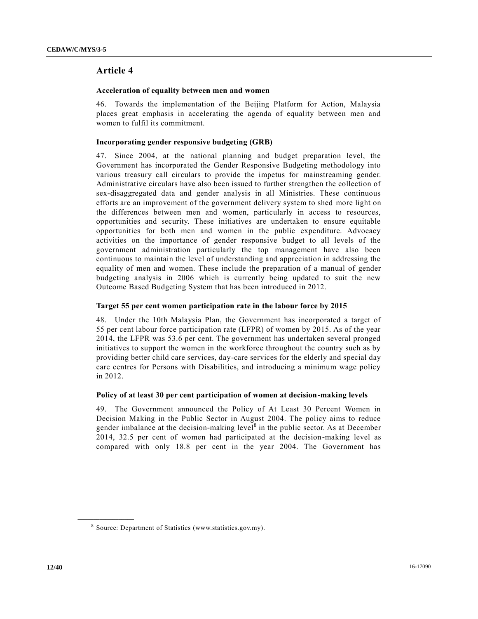### **Article 4**

### **Acceleration of equality between men and women**

46. Towards the implementation of the Beijing Platform for Action, Malaysia places great emphasis in accelerating the agenda of equality between men and women to fulfil its commitment.

### **Incorporating gender responsive budgeting (GRB)**

47. Since 2004, at the national planning and budget preparation level, the Government has incorporated the Gender Responsive Budgeting methodology into various treasury call circulars to provide the impetus for mainstreaming gender. Administrative circulars have also been issued to further strengthen the collection of sex-disaggregated data and gender analysis in all Ministries. These continuous efforts are an improvement of the government delivery system to shed more light on the differences between men and women, particularly in access to resources, opportunities and security. These initiatives are undertaken to ensure equitable opportunities for both men and women in the public expenditure. Advocacy activities on the importance of gender responsive budget to all levels of the government administration particularly the top management have also been continuous to maintain the level of understanding and appreciation in addressing the equality of men and women. These include the preparation of a manual of gender budgeting analysis in 2006 which is currently being updated to suit the new Outcome Based Budgeting System that has been introduced in 2012.

### **Target 55 per cent women participation rate in the labour force by 2015**

48. Under the 10th Malaysia Plan, the Government has incorporated a target of 55 per cent labour force participation rate (LFPR) of women by 2015. As of the year 2014, the LFPR was 53.6 per cent. The government has undertaken several pronged initiatives to support the women in the workforce throughout the country such as by providing better child care services, day-care services for the elderly and special day care centres for Persons with Disabilities, and introducing a minimum wage policy in 2012.

### **Policy of at least 30 per cent participation of women at decision-making levels**

49. The Government announced the Policy of At Least 30 Percent Women in Decision Making in the Public Sector in August 2004. The policy aims to reduce gender imbalance at the decision-making level<sup>8</sup> in the public sector. As at December 2014, 32.5 per cent of women had participated at the decision-making level as compared with only 18.8 per cent in the year 2004. The Government has

**\_\_\_\_\_\_\_\_\_\_\_\_\_\_\_\_\_\_**

<sup>&</sup>lt;sup>8</sup> Source: Department of Statistics (www.statistics.gov.my).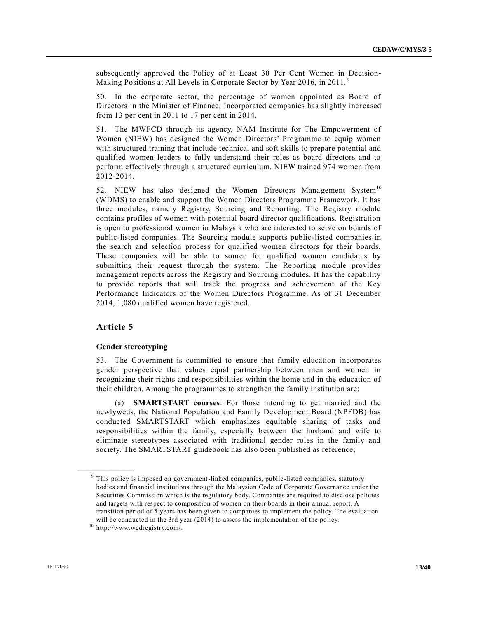subsequently approved the Policy of at Least 30 Per Cent Women in Decision-Making Positions at All Levels in Corporate Sector by Year 2016, in 2011.<sup>9</sup>

50. In the corporate sector, the percentage of women appointed as Board of Directors in the Minister of Finance, Incorporated companies has slightly increased from 13 per cent in 2011 to 17 per cent in 2014.

51. The MWFCD through its agency, NAM Institute for The Empowerment of Women (NIEW) has designed the Women Directors' Programme to equip women with structured training that include technical and soft skills to prepare potential and qualified women leaders to fully understand their roles as board directors and to perform effectively through a structured curriculum. NIEW trained 974 women from 2012-2014.

52. NIEW has also designed the Women Directors Management System<sup>10</sup> (WDMS) to enable and support the Women Directors Programme Framework. It has three modules, namely Registry, Sourcing and Reporting. The Registry module contains profiles of women with potential board director qualifications. Registration is open to professional women in Malaysia who are interested to serve on boards of public-listed companies. The Sourcing module supports public-listed companies in the search and selection process for qualified women directors for their boards. These companies will be able to source for qualified women candidates by submitting their request through the system. The Reporting module provides management reports across the Registry and Sourcing modules. It has the capability to provide reports that will track the progress and achievement of the Key Performance Indicators of the Women Directors Programme. As of 31 December 2014, 1,080 qualified women have registered.

### **Article 5**

**\_\_\_\_\_\_\_\_\_\_\_\_\_\_\_\_\_\_**

### **Gender stereotyping**

53. The Government is committed to ensure that family education incorporates gender perspective that values equal partnership between men and women in recognizing their rights and responsibilities within the home and in the education of their children. Among the programmes to strengthen the family institution are:

(a) **SMARTSTART courses**: For those intending to get married and the newlyweds, the National Population and Family Development Board (NPFDB) has conducted SMARTSTART which emphasizes equitable sharing of tasks and responsibilities within the family, especially between the husband and wife to eliminate stereotypes associated with traditional gender roles in the family and society. The SMARTSTART guidebook has also been published as reference;

<sup>&</sup>lt;sup>9</sup> This policy is imposed on government-linked companies, public-listed companies, statutory bodies and financial institutions through the Malaysian Code of Corporate Governance under the Securities Commission which is the regulatory body. Companies are required to disclose policies and targets with respect to composition of women on their boards in their annual report. A transition period of 5 years has been given to companies to implement the policy. The evaluation

will be conducted in the 3rd year (2014) to assess the implementation of the policy. <sup>10</sup> http://www.wcdregistry.com/.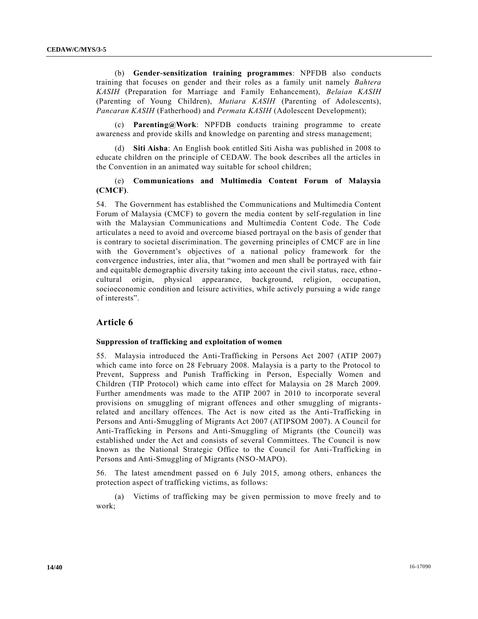(b) **Gender-sensitization training programmes**: NPFDB also conducts training that focuses on gender and their roles as a family unit namely *Bahtera KASIH* (Preparation for Marriage and Family Enhancement), *Belaian KASIH* (Parenting of Young Children), *Mutiara KASIH* (Parenting of Adolescents), *Pancaran KASIH* (Fatherhood) and *Permata KASIH* (Adolescent Development);

(c) **Parenting@Work**: NPFDB conducts training programme to create awareness and provide skills and knowledge on parenting and stress management;

(d) **Siti Aisha**: An English book entitled Siti Aisha was published in 2008 to educate children on the principle of CEDAW. The book describes all the articles in the Convention in an animated way suitable for school children;

### (e) **Communications and Multimedia Content Forum of Malaysia (CMCF)**.

54. The Government has established the Communications and Multimedia Content Forum of Malaysia (CMCF) to govern the media content by self-regulation in line with the Malaysian Communications and Multimedia Content Code. The Code articulates a need to avoid and overcome biased portrayal on the basis of gender that is contrary to societal discrimination. The governing principles of CMCF are in line with the Government's objectives of a national policy framework for the convergence industries, inter alia, that "women and men shall be portrayed with fair and equitable demographic diversity taking into account the civil status, race, ethno cultural origin, physical appearance, background, religion, occupation, socioeconomic condition and leisure activities, while actively pursuing a wide range of interests".

### **Article 6**

#### **Suppression of trafficking and exploitation of women**

55. Malaysia introduced the Anti-Trafficking in Persons Act 2007 (ATIP 2007) which came into force on 28 February 2008. Malaysia is a party to the Protocol to Prevent, Suppress and Punish Trafficking in Person, Especially Women and Children (TIP Protocol) which came into effect for Malaysia on 28 March 2009. Further amendments was made to the ATIP 2007 in 2010 to incorporate several provisions on smuggling of migrant offences and other smuggling of migrantsrelated and ancillary offences. The Act is now cited as the Anti-Trafficking in Persons and Anti-Smuggling of Migrants Act 2007 (ATIPSOM 2007). A Council for Anti-Trafficking in Persons and Anti-Smuggling of Migrants (the Council) was established under the Act and consists of several Committees. The Council is now known as the National Strategic Office to the Council for Anti-Trafficking in Persons and Anti-Smuggling of Migrants (NSO-MAPO).

56. The latest amendment passed on 6 July 2015, among others, enhances the protection aspect of trafficking victims, as follows:

(a) Victims of trafficking may be given permission to move freely and to work;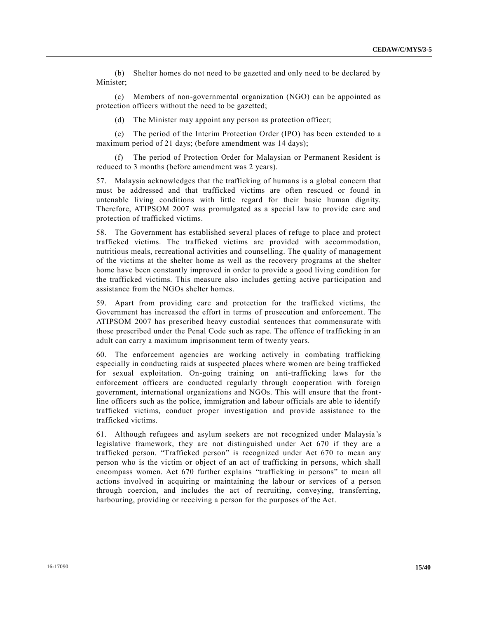(b) Shelter homes do not need to be gazetted and only need to be declared by Minister;

(c) Members of non-governmental organization (NGO) can be appointed as protection officers without the need to be gazetted;

(d) The Minister may appoint any person as protection officer;

(e) The period of the Interim Protection Order (IPO) has been extended to a maximum period of 21 days; (before amendment was 14 days);

(f) The period of Protection Order for Malaysian or Permanent Resident is reduced to 3 months (before amendment was 2 years).

57. Malaysia acknowledges that the trafficking of humans is a global concern that must be addressed and that trafficked victims are often rescued or found in untenable living conditions with little regard for their basic human dignity. Therefore, ATIPSOM 2007 was promulgated as a special law to provide care and protection of trafficked victims.

58. The Government has established several places of refuge to place and protect trafficked victims. The trafficked victims are provided with accommodation, nutritious meals, recreational activities and counselling. The quality of management of the victims at the shelter home as well as the recovery programs at the shelter home have been constantly improved in order to provide a good living condition for the trafficked victims. This measure also includes getting active participation and assistance from the NGOs shelter homes.

59. Apart from providing care and protection for the trafficked victims, the Government has increased the effort in terms of prosecution and enforcement. The ATIPSOM 2007 has prescribed heavy custodial sentences that commensurate with those prescribed under the Penal Code such as rape. The offence of trafficking in an adult can carry a maximum imprisonment term of twenty years.

60. The enforcement agencies are working actively in combating trafficking especially in conducting raids at suspected places where women are being trafficked for sexual exploitation. On-going training on anti-trafficking laws for the enforcement officers are conducted regularly through cooperation with foreign government, international organizations and NGOs. This will ensure that the frontline officers such as the police, immigration and labour officials are able to identify trafficked victims, conduct proper investigation and provide assistance to the trafficked victims.

61. Although refugees and asylum seekers are not recognized under Malaysia 's legislative framework, they are not distinguished under Act 670 if they are a trafficked person. "Trafficked person" is recognized under Act 670 to mean any person who is the victim or object of an act of trafficking in persons, which shall encompass women. Act 670 further explains "trafficking in persons" to mean all actions involved in acquiring or maintaining the labour or services of a person through coercion, and includes the act of recruiting, conveying, transferring, harbouring, providing or receiving a person for the purposes of the Act.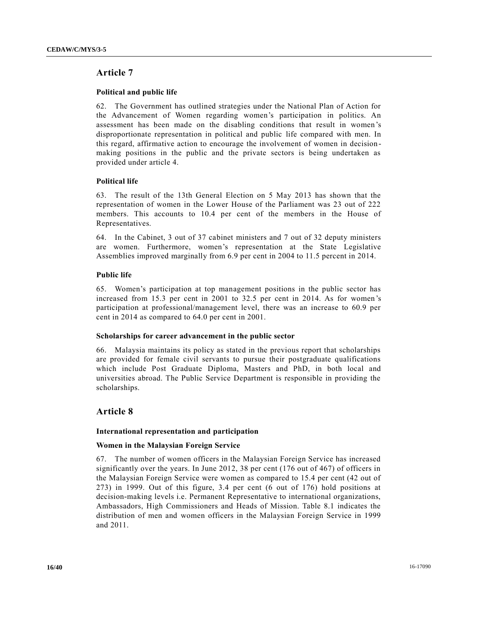### **Article 7**

### **Political and public life**

62. The Government has outlined strategies under the National Plan of Action for the Advancement of Women regarding women's participation in politics. An assessment has been made on the disabling conditions that result in women's disproportionate representation in political and public life compared with men. In this regard, affirmative action to encourage the involvement of women in decision making positions in the public and the private sectors is being undertaken as provided under article 4.

### **Political life**

63. The result of the 13th General Election on 5 May 2013 has shown that the representation of women in the Lower House of the Parliament was 23 out of 222 members. This accounts to 10.4 per cent of the members in the House of Representatives.

64. In the Cabinet, 3 out of 37 cabinet ministers and 7 out of 32 deputy ministers are women. Furthermore, women's representation at the State Legislative Assemblies improved marginally from 6.9 per cent in 2004 to 11.5 percent in 2014.

### **Public life**

65. Women's participation at top management positions in the public sector has increased from 15.3 per cent in 2001 to 32.5 per cent in 2014. As for women 's participation at professional/management level, there was an increase to 60.9 per cent in 2014 as compared to 64.0 per cent in 2001.

### **Scholarships for career advancement in the public sector**

66. Malaysia maintains its policy as stated in the previous report that scholarships are provided for female civil servants to pursue their postgraduate qualifications which include Post Graduate Diploma, Masters and PhD, in both local and universities abroad. The Public Service Department is responsible in providing the scholarships.

### **Article 8**

### **International representation and participation**

### **Women in the Malaysian Foreign Service**

67. The number of women officers in the Malaysian Foreign Service has increased significantly over the years. In June 2012, 38 per cent (176 out of 467) of officers in the Malaysian Foreign Service were women as compared to 15.4 per cent (42 out of 273) in 1999. Out of this figure, 3.4 per cent (6 out of 176) hold positions at decision-making levels i.e. Permanent Representative to international organizations, Ambassadors, High Commissioners and Heads of Mission. Table 8.1 indicates the distribution of men and women officers in the Malaysian Foreign Service in 1999 and 2011.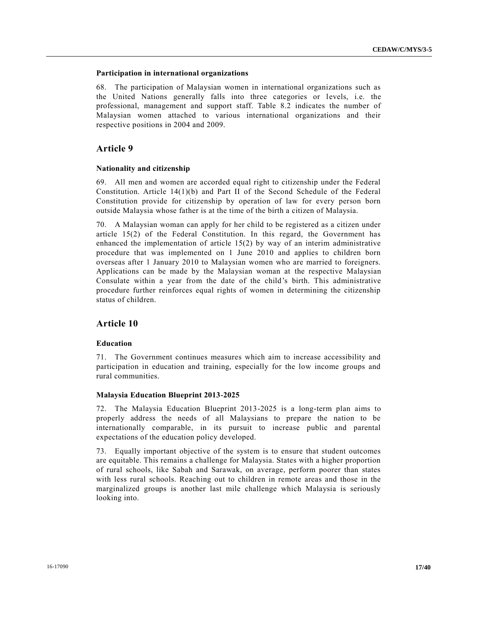### **Participation in international organizations**

68. The participation of Malaysian women in international organizations such as the United Nations generally falls into three categories or levels, i.e. the professional, management and support staff. Table 8.2 indicates the number of Malaysian women attached to various international organizations and their respective positions in 2004 and 2009.

### **Article 9**

### **Nationality and citizenship**

69. All men and women are accorded equal right to citizenship under the Federal Constitution. Article 14(1)(b) and Part II of the Second Schedule of the Federal Constitution provide for citizenship by operation of law for every person born outside Malaysia whose father is at the time of the birth a citizen of Malaysia.

70. A Malaysian woman can apply for her child to be registered as a citizen under article 15(2) of the Federal Constitution. In this regard, the Government has enhanced the implementation of article 15(2) by way of an interim administrative procedure that was implemented on 1 June 2010 and applies to children born overseas after 1 January 2010 to Malaysian women who are married to foreigners. Applications can be made by the Malaysian woman at the respective Malaysian Consulate within a year from the date of the child's birth. This administrative procedure further reinforces equal rights of women in determining the citizenship status of children.

### **Article 10**

### **Education**

71. The Government continues measures which aim to increase accessibility and participation in education and training, especially for the low income groups and rural communities.

### **Malaysia Education Blueprint 2013-2025**

72. The Malaysia Education Blueprint 2013-2025 is a long-term plan aims to properly address the needs of all Malaysians to prepare the nation to be internationally comparable, in its pursuit to increase public and parental expectations of the education policy developed.

73. Equally important objective of the system is to ensure that student outcomes are equitable. This remains a challenge for Malaysia. States with a higher proportion of rural schools, like Sabah and Sarawak, on average, perform poorer than states with less rural schools. Reaching out to children in remote areas and those in the marginalized groups is another last mile challenge which Malaysia is seriously looking into.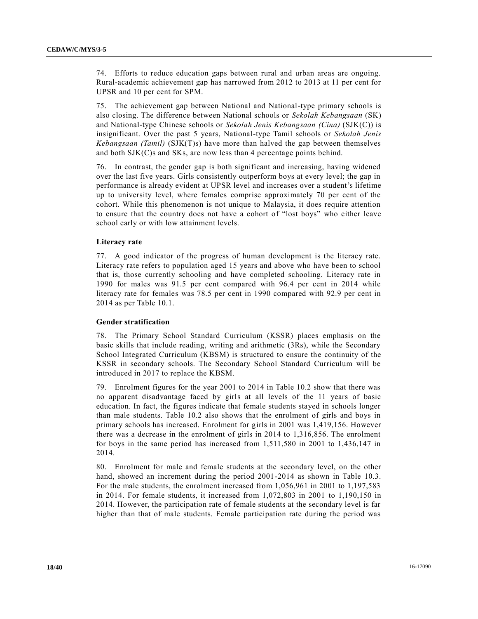74. Efforts to reduce education gaps between rural and urban areas are ongoing. Rural-academic achievement gap has narrowed from 2012 to 2013 at 11 per cent for UPSR and 10 per cent for SPM.

75. The achievement gap between National and National-type primary schools is also closing. The difference between National schools or *Sekolah Kebangsaan* (SK) and National-type Chinese schools or *Sekolah Jenis Kebangsaan (Cina)* (SJK(C)) is insignificant. Over the past 5 years, National-type Tamil schools or *Sekolah Jenis Kebangsaan (Tamil)* (SJK(T)s) have more than halved the gap between themselves and both SJK(C)s and SKs, are now less than 4 percentage points behind.

76. In contrast, the gender gap is both significant and increasing, having widened over the last five years. Girls consistently outperform boys at every level; the gap in performance is already evident at UPSR level and increases over a student's lifetime up to university level, where females comprise approximately 70 per cent of the cohort. While this phenomenon is not unique to Malaysia, it does require attention to ensure that the country does not have a cohort of "lost boys" who either leave school early or with low attainment levels.

### **Literacy rate**

77. A good indicator of the progress of human development is the literacy rate. Literacy rate refers to population aged 15 years and above who have been to school that is, those currently schooling and have completed schooling. Literacy rate in 1990 for males was 91.5 per cent compared with 96.4 per cent in 2014 while literacy rate for females was 78.5 per cent in 1990 compared with 92.9 per cent in 2014 as per Table 10.1.

### **Gender stratification**

78. The Primary School Standard Curriculum (KSSR) places emphasis on the basic skills that include reading, writing and arithmetic (3Rs), while the Secondary School Integrated Curriculum (KBSM) is structured to ensure the continuity of the KSSR in secondary schools. The Secondary School Standard Curriculum will be introduced in 2017 to replace the KBSM.

79. Enrolment figures for the year 2001 to 2014 in Table 10.2 show that there was no apparent disadvantage faced by girls at all levels of the 11 years of basic education. In fact, the figures indicate that female students stayed in schools longer than male students. Table 10.2 also shows that the enrolment of girls and boys in primary schools has increased. Enrolment for girls in 2001 was 1,419,156. However there was a decrease in the enrolment of girls in 2014 to 1,316,856. The enrolment for boys in the same period has increased from 1,511,580 in 2001 to 1,436,147 in 2014.

80. Enrolment for male and female students at the secondary level, on the other hand, showed an increment during the period 2001-2014 as shown in Table 10.3. For the male students, the enrolment increased from 1,056,961 in 2001 to 1,197,583 in 2014. For female students, it increased from 1,072,803 in 2001 to 1,190,150 in 2014. However, the participation rate of female students at the secondary level is far higher than that of male students. Female participation rate during the period was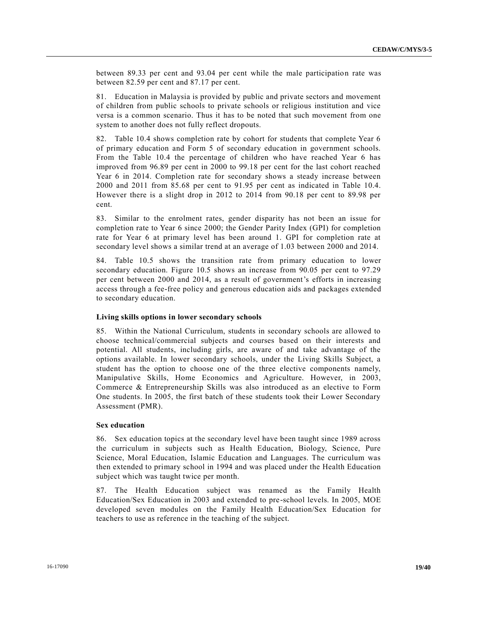between 89.33 per cent and 93.04 per cent while the male participation rate was between 82.59 per cent and 87.17 per cent.

81. Education in Malaysia is provided by public and private sectors and movement of children from public schools to private schools or religious institution and vice versa is a common scenario. Thus it has to be noted that such movement from one system to another does not fully reflect dropouts.

82. Table 10.4 shows completion rate by cohort for students that complete Year 6 of primary education and Form 5 of secondary education in government schools. From the Table 10.4 the percentage of children who have reached Year 6 has improved from 96.89 per cent in 2000 to 99.18 per cent for the last cohort reached Year 6 in 2014. Completion rate for secondary shows a steady increase between 2000 and 2011 from 85.68 per cent to 91.95 per cent as indicated in Table 10.4. However there is a slight drop in 2012 to 2014 from 90.18 per cent to 89.98 per cent.

83. Similar to the enrolment rates, gender disparity has not been an issue for completion rate to Year 6 since 2000; the Gender Parity Index (GPI) for completion rate for Year 6 at primary level has been around 1. GPI for completion rate at secondary level shows a similar trend at an average of 1.03 between 2000 and 2014.

84. Table 10.5 shows the transition rate from primary education to lower secondary education. Figure 10.5 shows an increase from 90.05 per cent to 97.29 per cent between 2000 and 2014, as a result of government's efforts in increasing access through a fee-free policy and generous education aids and packages extended to secondary education.

### **Living skills options in lower secondary schools**

85. Within the National Curriculum, students in secondary schools are allowed to choose technical/commercial subjects and courses based on their interests and potential. All students, including girls, are aware of and take advantage of the options available. In lower secondary schools, under the Living Skills Subject, a student has the option to choose one of the three elective components namely, Manipulative Skills, Home Economics and Agriculture. However, in 2003, Commerce & Entrepreneurship Skills was also introduced as an elective to Form One students. In 2005, the first batch of these students took their Lower Secondary Assessment (PMR).

#### **Sex education**

86. Sex education topics at the secondary level have been taught since 1989 across the curriculum in subjects such as Health Education, Biology, Science, Pure Science, Moral Education, Islamic Education and Languages. The curriculum was then extended to primary school in 1994 and was placed under the Health Education subject which was taught twice per month.

87. The Health Education subject was renamed as the Family Health Education/Sex Education in 2003 and extended to pre-school levels. In 2005, MOE developed seven modules on the Family Health Education/Sex Education for teachers to use as reference in the teaching of the subject.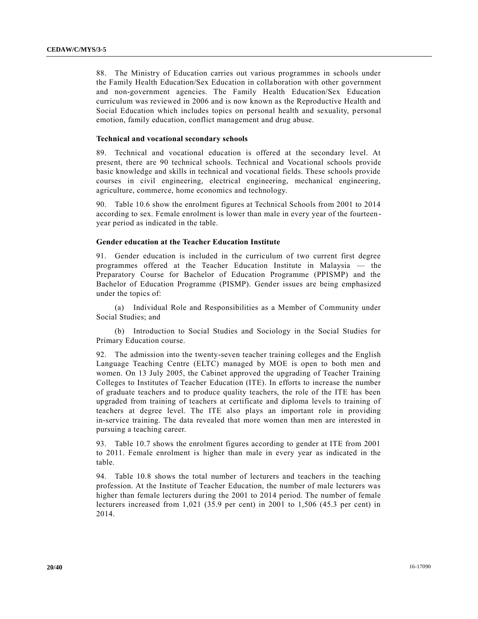88. The Ministry of Education carries out various programmes in schools under the Family Health Education/Sex Education in collaboration with other government and non-government agencies. The Family Health Education/Sex Education curriculum was reviewed in 2006 and is now known as the Reproductive Health and Social Education which includes topics on personal health and sexuality, personal emotion, family education, conflict management and drug abuse.

#### **Technical and vocational secondary schools**

89. Technical and vocational education is offered at the secondary level. At present, there are 90 technical schools. Technical and Vocational schools provide basic knowledge and skills in technical and vocational fields. These schools provide courses in civil engineering, electrical engineering, mechanical engineering, agriculture, commerce, home economics and technology.

90. Table 10.6 show the enrolment figures at Technical Schools from 2001 to 2014 according to sex. Female enrolment is lower than male in every year of the fourteen year period as indicated in the table.

#### **Gender education at the Teacher Education Institute**

91. Gender education is included in the curriculum of two current first degree programmes offered at the Teacher Education Institute in Malaysia — the Preparatory Course for Bachelor of Education Programme (PPISMP) and the Bachelor of Education Programme (PISMP). Gender issues are being emphasized under the topics of:

(a) Individual Role and Responsibilities as a Member of Community under Social Studies; and

(b) Introduction to Social Studies and Sociology in the Social Studies for Primary Education course.

92. The admission into the twenty-seven teacher training colleges and the English Language Teaching Centre (ELTC) managed by MOE is open to both men and women. On 13 July 2005, the Cabinet approved the upgrading of Teacher Training Colleges to Institutes of Teacher Education (ITE). In efforts to increase the number of graduate teachers and to produce quality teachers, the role of the ITE has been upgraded from training of teachers at certificate and diploma levels to training of teachers at degree level. The ITE also plays an important role in providing in-service training. The data revealed that more women than men are interested in pursuing a teaching career.

93. Table 10.7 shows the enrolment figures according to gender at ITE from 2001 to 2011. Female enrolment is higher than male in every year as indicated in the table.

94. Table 10.8 shows the total number of lecturers and teachers in the teaching profession. At the Institute of Teacher Education, the number of male lecturers was higher than female lecturers during the 2001 to 2014 period. The number of female lecturers increased from 1,021 (35.9 per cent) in 2001 to 1,506 (45.3 per cent) in 2014.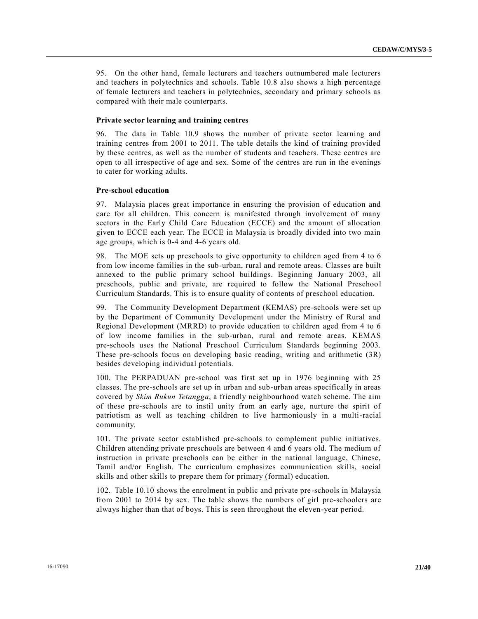95. On the other hand, female lecturers and teachers outnumbered male lecturers and teachers in polytechnics and schools. Table 10.8 also shows a high percentage of female lecturers and teachers in polytechnics, secondary and primary schools as compared with their male counterparts.

### **Private sector learning and training centres**

96. The data in Table 10.9 shows the number of private sector learning and training centres from 2001 to 2011. The table details the kind of training provided by these centres, as well as the number of students and teachers. These centres are open to all irrespective of age and sex. Some of the centres are run in the evenings to cater for working adults.

### **Pre-school education**

97. Malaysia places great importance in ensuring the provision of education and care for all children. This concern is manifested through involvement of many sectors in the Early Child Care Education (ECCE) and the amount of allocation given to ECCE each year. The ECCE in Malaysia is broadly divided into two main age groups, which is 0-4 and 4-6 years old.

98. The MOE sets up preschools to give opportunity to children aged from 4 to 6 from low income families in the sub-urban, rural and remote areas. Classes are built annexed to the public primary school buildings. Beginning January 2003, all preschools, public and private, are required to follow the National Preschool Curriculum Standards. This is to ensure quality of contents of preschool education.

99. The Community Development Department (KEMAS) pre-schools were set up by the Department of Community Development under the Ministry of Rural and Regional Development (MRRD) to provide education to children aged from 4 to 6 of low income families in the sub-urban, rural and remote areas. KEMAS pre-schools uses the National Preschool Curriculum Standards beginning 2003. These pre-schools focus on developing basic reading, writing and arithmetic (3R) besides developing individual potentials.

100. The PERPADUAN pre-school was first set up in 1976 beginning with 25 classes. The pre-schools are set up in urban and sub-urban areas specifically in areas covered by *Skim Rukun Tetangga*, a friendly neighbourhood watch scheme. The aim of these pre-schools are to instil unity from an early age, nurture the spirit of patriotism as well as teaching children to live harmoniously in a multi-racial community.

101. The private sector established pre-schools to complement public initiatives. Children attending private preschools are between 4 and 6 years old. The medium of instruction in private preschools can be either in the national language, Chinese, Tamil and/or English. The curriculum emphasizes communication skills, social skills and other skills to prepare them for primary (formal) education.

102. Table 10.10 shows the enrolment in public and private pre-schools in Malaysia from 2001 to 2014 by sex. The table shows the numbers of girl pre-schoolers are always higher than that of boys. This is seen throughout the eleven-year period.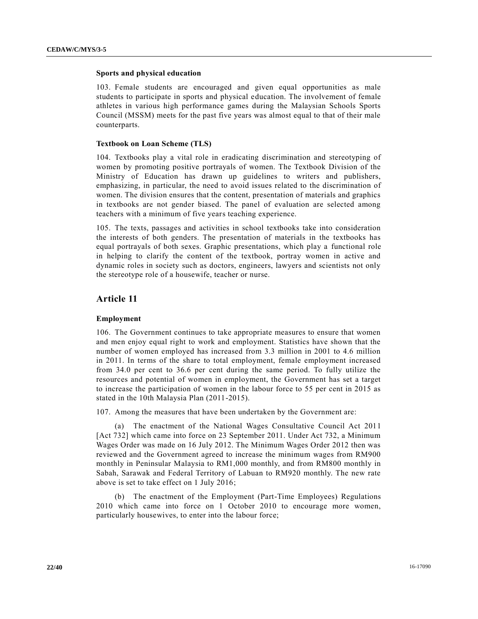### **Sports and physical education**

103. Female students are encouraged and given equal opportunities as male students to participate in sports and physical education. The involvement of female athletes in various high performance games during the Malaysian Schools Sports Council (MSSM) meets for the past five years was almost equal to that of their male counterparts.

### **Textbook on Loan Scheme (TLS)**

104. Textbooks play a vital role in eradicating discrimination and stereotyping of women by promoting positive portrayals of women. The Textbook Division of the Ministry of Education has drawn up guidelines to writers and publishers, emphasizing, in particular, the need to avoid issues related to the discrimination of women. The division ensures that the content, presentation of materials and graphics in textbooks are not gender biased. The panel of evaluation are selected among teachers with a minimum of five years teaching experience.

105. The texts, passages and activities in school textbooks take into consideration the interests of both genders. The presentation of materials in the textbooks has equal portrayals of both sexes. Graphic presentations, which play a functional role in helping to clarify the content of the textbook, portray women in active and dynamic roles in society such as doctors, engineers, lawyers and scientists not only the stereotype role of a housewife, teacher or nurse.

### **Article 11**

### **Employment**

106. The Government continues to take appropriate measures to ensure that women and men enjoy equal right to work and employment. Statistics have shown that the number of women employed has increased from 3.3 million in 2001 to 4.6 million in 2011. In terms of the share to total employment, female employment increased from 34.0 per cent to 36.6 per cent during the same period. To fully utilize the resources and potential of women in employment, the Government has set a target to increase the participation of women in the labour force to 55 per cent in 2015 as stated in the 10th Malaysia Plan (2011-2015).

107. Among the measures that have been undertaken by the Government are:

(a) The enactment of the National Wages Consultative Council Act 2011 [Act 732] which came into force on 23 September 2011. Under Act 732, a Minimum Wages Order was made on 16 July 2012. The Minimum Wages Order 2012 then was reviewed and the Government agreed to increase the minimum wages from RM900 monthly in Peninsular Malaysia to RM1,000 monthly, and from RM800 monthly in Sabah, Sarawak and Federal Territory of Labuan to RM920 monthly. The new rate above is set to take effect on 1 July 2016;

(b) The enactment of the Employment (Part-Time Employees) Regulations 2010 which came into force on 1 October 2010 to encourage more women, particularly housewives, to enter into the labour force;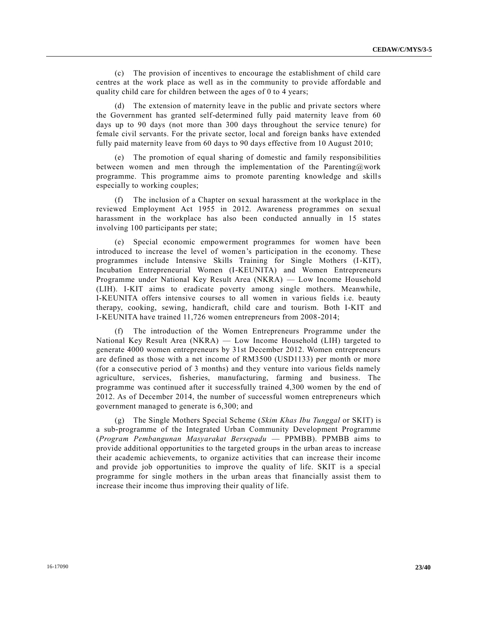(c) The provision of incentives to encourage the establishment of child care centres at the work place as well as in the community to provide affordable and quality child care for children between the ages of 0 to 4 years;

(d) The extension of maternity leave in the public and private sectors where the Government has granted self-determined fully paid maternity leave from 60 days up to 90 days (not more than 300 days throughout the service tenure) for female civil servants. For the private sector, local and foreign banks have extended fully paid maternity leave from 60 days to 90 days effective from 10 August 2010;

(e) The promotion of equal sharing of domestic and family responsibilities between women and men through the implementation of the Parenting@work programme. This programme aims to promote parenting knowledge and skills especially to working couples;

The inclusion of a Chapter on sexual harassment at the workplace in the reviewed Employment Act 1955 in 2012. Awareness programmes on sexual harassment in the workplace has also been conducted annually in 15 states involving 100 participants per state;

(e) Special economic empowerment programmes for women have been introduced to increase the level of women's participation in the economy. These programmes include Intensive Skills Training for Single Mothers (I-KIT), Incubation Entrepreneurial Women (I-KEUNITA) and Women Entrepreneurs Programme under National Key Result Area (NKRA) — Low Income Household (LIH). I-KIT aims to eradicate poverty among single mothers. Meanwhile, I-KEUNITA offers intensive courses to all women in various fields i.e. beauty therapy, cooking, sewing, handicraft, child care and tourism. Both I-KIT and I-KEUNITA have trained 11,726 women entrepreneurs from 2008-2014;

(f) The introduction of the Women Entrepreneurs Programme under the National Key Result Area (NKRA) — Low Income Household (LIH) targeted to generate 4000 women entrepreneurs by 31st December 2012. Women entrepreneurs are defined as those with a net income of RM3500 (USD1133) per month or more (for a consecutive period of 3 months) and they venture into various fields namely agriculture, services, fisheries, manufacturing, farming and business. The programme was continued after it successfully trained 4,300 women by the end of 2012. As of December 2014, the number of successful women entrepreneurs which government managed to generate is 6,300; and

(g) The Single Mothers Special Scheme (*Skim Khas Ibu Tunggal* or SKIT) is a sub-programme of the Integrated Urban Community Development Programme (*Program Pembangunan Masyarakat Bersepadu* — PPMBB). PPMBB aims to provide additional opportunities to the targeted groups in the urban areas to increase their academic achievements, to organize activities that can increase their income and provide job opportunities to improve the quality of life. SKIT is a special programme for single mothers in the urban areas that financially assist them to increase their income thus improving their quality of life.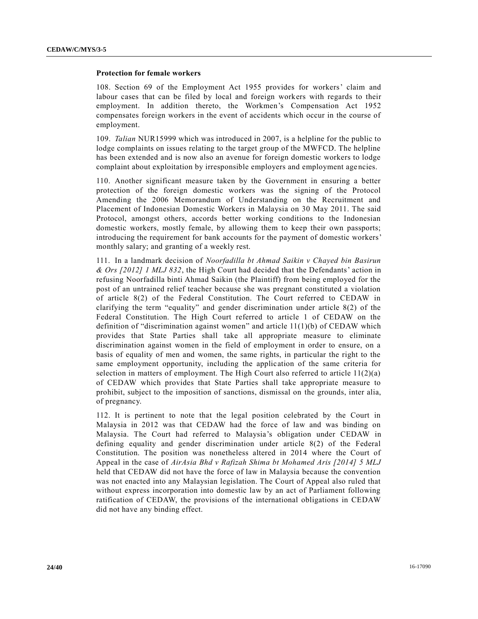### **Protection for female workers**

108. Section 69 of the Employment Act 1955 provides for workers' claim and labour cases that can be filed by local and foreign workers with regards to their employment. In addition thereto, the Workmen's Compensation Act 1952 compensates foreign workers in the event of accidents which occur in the course of employment.

109. *Talian* NUR15999 which was introduced in 2007, is a helpline for the public to lodge complaints on issues relating to the target group of the MWFCD. The helpline has been extended and is now also an avenue for foreign domestic workers to lodge complaint about exploitation by irresponsible employers and employment agencies.

110. Another significant measure taken by the Government in ensuring a better protection of the foreign domestic workers was the signing of the Protocol Amending the 2006 Memorandum of Understanding on the Recruitment and Placement of Indonesian Domestic Workers in Malaysia on 30 May 2011. The said Protocol, amongst others, accords better working conditions to the Indonesian domestic workers, mostly female, by allowing them to keep their own passports; introducing the requirement for bank accounts for the payment of domestic workers' monthly salary; and granting of a weekly rest.

111. In a landmark decision of *Noorfadilla bt Ahmad Saikin v Chayed bin Basirun & Ors [2012] 1 MLJ 832*, the High Court had decided that the Defendants' action in refusing Noorfadilla binti Ahmad Saikin (the Plaintiff) from being employed for the post of an untrained relief teacher because she was pregnant constituted a violation of article 8(2) of the Federal Constitution. The Court referred to CEDAW in clarifying the term "equality" and gender discrimination under article 8(2) of the Federal Constitution. The High Court referred to article 1 of CEDAW on the definition of "discrimination against women" and article 11(1)(b) of CEDAW which provides that State Parties shall take all appropriate measure to eliminate discrimination against women in the field of employment in order to ensure, on a basis of equality of men and women, the same rights, in particular the right to the same employment opportunity, including the application of the same criteria for selection in matters of employment. The High Court also referred to article  $11(2)(a)$ of CEDAW which provides that State Parties shall take appropriate measure to prohibit, subject to the imposition of sanctions, dismissal on the grounds, inter alia, of pregnancy.

112. It is pertinent to note that the legal position celebrated by the Court in Malaysia in 2012 was that CEDAW had the force of law and was binding on Malaysia. The Court had referred to Malaysia's obligation under CEDAW in defining equality and gender discrimination under article 8(2) of the Federal Constitution. The position was nonetheless altered in 2014 where the Court of Appeal in the case of *AirAsia Bhd v Rafizah Shima bt Mohamed Aris [2014] 5 MLJ* held that CEDAW did not have the force of law in Malaysia because the convention was not enacted into any Malaysian legislation. The Court of Appeal also ruled that without express incorporation into domestic law by an act of Parliament following ratification of CEDAW, the provisions of the international obligations in CEDAW did not have any binding effect.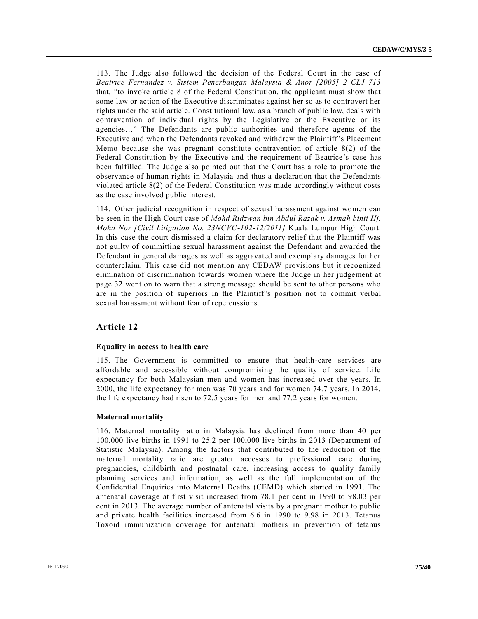113. The Judge also followed the decision of the Federal Court in the case of *Beatrice Fernandez v. Sistem Penerbangan Malaysia & Anor [2005] 2 CLJ 713* that, "to invoke article 8 of the Federal Constitution, the applicant must show that some law or action of the Executive discriminates against her so as to controvert her rights under the said article. Constitutional law, as a branch of public law, deals with contravention of individual rights by the Legislative or the Executive or its agencies…" The Defendants are public authorities and therefore agents of the Executive and when the Defendants revoked and withdrew the Plaintiff 's Placement Memo because she was pregnant constitute contravention of article 8(2) of the Federal Constitution by the Executive and the requirement of Beatrice 's case has been fulfilled. The Judge also pointed out that the Court has a role to promote the observance of human rights in Malaysia and thus a declaration that the Defendants violated article 8(2) of the Federal Constitution was made accordingly without costs as the case involved public interest.

114. Other judicial recognition in respect of sexual harassment against women can be seen in the High Court case of *Mohd Ridzwan bin Abdul Razak v. Asmah binti Hj. Mohd Nor [Civil Litigation No. 23NCVC-102-12/2011]* Kuala Lumpur High Court. In this case the court dismissed a claim for declaratory relief that the Plaintiff was not guilty of committing sexual harassment against the Defendant and awarded the Defendant in general damages as well as aggravated and exemplary damages for her counterclaim. This case did not mention any CEDAW provisions but it recognized elimination of discrimination towards women where the Judge in her judgement at page 32 went on to warn that a strong message should be sent to other persons who are in the position of superiors in the Plaintiff's position not to commit verbal sexual harassment without fear of repercussions.

### **Article 12**

#### **Equality in access to health care**

115. The Government is committed to ensure that health-care services are affordable and accessible without compromising the quality of service. Life expectancy for both Malaysian men and women has increased over the years. In 2000, the life expectancy for men was 70 years and for women 74.7 years. In 2014, the life expectancy had risen to 72.5 years for men and 77.2 years for women.

#### **Maternal mortality**

116. Maternal mortality ratio in Malaysia has declined from more than 40 per 100,000 live births in 1991 to 25.2 per 100,000 live births in 2013 (Department of Statistic Malaysia). Among the factors that contributed to the reduction of the maternal mortality ratio are greater accesses to professional care during pregnancies, childbirth and postnatal care, increasing access to quality family planning services and information, as well as the full implementation of the Confidential Enquiries into Maternal Deaths (CEMD) which started in 1991. The antenatal coverage at first visit increased from 78.1 per cent in 1990 to 98.03 per cent in 2013. The average number of antenatal visits by a pregnant mother to public and private health facilities increased from 6.6 in 1990 to 9.98 in 2013. Tetanus Toxoid immunization coverage for antenatal mothers in prevention of tetanus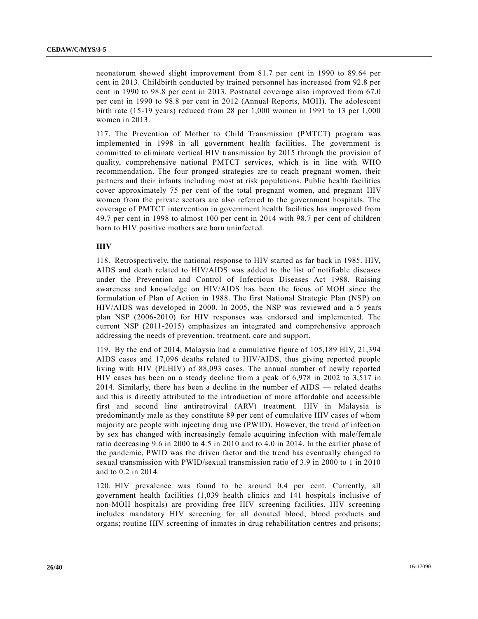neonatorum showed slight improvement from 81.7 per cent in 1990 to 89.64 per cent in 2013. Childbirth conducted by trained personnel has increased from 92.8 per cent in 1990 to 98.8 per cent in 2013. Postnatal coverage also improved from 67.0 per cent in 1990 to 98.8 per cent in 2012 (Annual Reports, MOH). The adolescent birth rate (15-19 years) reduced from 28 per 1,000 women in 1991 to 13 per 1,000 women in 2013.

117. The Prevention of Mother to Child Transmission (PMTCT) program was implemented in 1998 in all government health facilities. The government is committed to eliminate vertical HIV transmission by 2015 through the provision of quality, comprehensive national PMTCT services, which is in line with WHO recommendation. The four pronged strategies are to reach pregnant women, their partners and their infants including most at risk populations. Public health facilities cover approximately 75 per cent of the total pregnant women, and pregnant HIV women from the private sectors are also referred to the government hospitals. The coverage of PMTCT intervention in government health facilities has improved from 49.7 per cent in 1998 to almost 100 per cent in 2014 with 98.7 per cent of children born to HIV positive mothers are born uninfected.

### **HIV**

118. Retrospectively, the national response to HIV started as far back in 1985. HIV, AIDS and death related to HIV/AIDS was added to the list of notifiable diseases under the Prevention and Control of Infectious Diseases Act 1988. Raising awareness and knowledge on HIV/AIDS has been the focus of MOH since the formulation of Plan of Action in 1988. The first National Strategic Plan (NSP) on HIV/AIDS was developed in 2000. In 2005, the NSP was reviewed and a 5 years plan NSP (2006-2010) for HIV responses was endorsed and implemented. The current NSP (2011-2015) emphasizes an integrated and comprehensive approach addressing the needs of prevention, treatment, care and support.

119. By the end of 2014, Malaysia had a cumulative figure of 105,189 HIV, 21,394 AIDS cases and 17,096 deaths related to HIV/AIDS, thus giving reported people living with HIV (PLHIV) of 88,093 cases. The annual number of newly reported HIV cases has been on a steady decline from a peak of 6,978 in 2002 to 3,517 in 2014. Similarly, there has been a decline in the number of AIDS — related deaths and this is directly attributed to the introduction of more affordable and accessible first and second line antiretroviral (ARV) treatment. HIV in Malaysia is predominantly male as they constitute 89 per cent of cumulative HIV cases of whom majority are people with injecting drug use (PWID). However, the trend of infection by sex has changed with increasingly female acquiring infection with male/female ratio decreasing 9.6 in 2000 to 4.5 in 2010 and to 4.0 in 2014. In the earlier phase of the pandemic, PWID was the driven factor and the trend has eventually changed to sexual transmission with PWID/sexual transmission ratio of 3.9 in 2000 to 1 in 2010 and to 0.2 in 2014.

120. HIV prevalence was found to be around 0.4 per cent. Currently, all government health facilities (1,039 health clinics and 141 hospitals inclusive of non-MOH hospitals) are providing free HIV screening facilities. HIV screening includes mandatory HIV screening for all donated blood, blood products and organs; routine HIV screening of inmates in drug rehabilitation centres and prisons;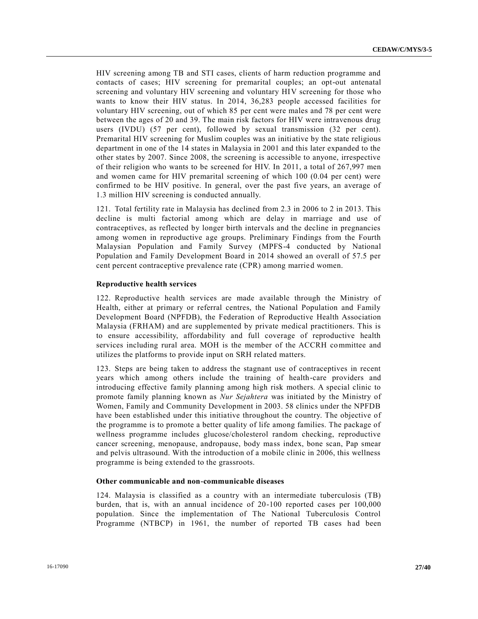HIV screening among TB and STI cases, clients of harm reduction programme and contacts of cases; HIV screening for premarital couples; an opt-out antenatal screening and voluntary HIV screening and voluntary HIV screening for those who wants to know their HIV status. In 2014, 36,283 people accessed facilities for voluntary HIV screening, out of which 85 per cent were males and 78 per cent were between the ages of 20 and 39. The main risk factors for HIV were intravenous drug users (IVDU) (57 per cent), followed by sexual transmission (32 per cent). Premarital HIV screening for Muslim couples was an initiative by the state religious department in one of the 14 states in Malaysia in 2001 and this later expanded to the other states by 2007. Since 2008, the screening is accessible to anyone, irrespective of their religion who wants to be screened for HIV. In 2011, a total of 267,997 men and women came for HIV premarital screening of which 100 (0.04 per cent) were confirmed to be HIV positive. In general, over the past five years, an average of 1.3 million HIV screening is conducted annually.

121. Total fertility rate in Malaysia has declined from 2.3 in 2006 to 2 in 2013. This decline is multi factorial among which are delay in marriage and use of contraceptives, as reflected by longer birth intervals and the decline in pregnancies among women in reproductive age groups. Preliminary Findings from the Fourth Malaysian Population and Family Survey (MPFS-4 conducted by National Population and Family Development Board in 2014 showed an overall of 57.5 per cent percent contraceptive prevalence rate (CPR) among married women.

### **Reproductive health services**

122. Reproductive health services are made available through the Ministry of Health, either at primary or referral centres, the National Population and Family Development Board (NPFDB), the Federation of Reproductive Health Association Malaysia (FRHAM) and are supplemented by private medical practitioners. This is to ensure accessibility, affordability and full coverage of reproductive health services including rural area. MOH is the member of the ACCRH committee and utilizes the platforms to provide input on SRH related matters.

123. Steps are being taken to address the stagnant use of contraceptives in recent years which among others include the training of health-care providers and introducing effective family planning among high risk mothers. A special clinic to promote family planning known as *Nur Sejahtera* was initiated by the Ministry of Women, Family and Community Development in 2003. 58 clinics under the NPFDB have been established under this initiative throughout the country. The objective of the programme is to promote a better quality of life among families. The package of wellness programme includes glucose/cholesterol random checking, reproductive cancer screening, menopause, andropause, body mass index, bone scan, Pap smear and pelvis ultrasound. With the introduction of a mobile clinic in 2006, this wellness programme is being extended to the grassroots.

### **Other communicable and non-communicable diseases**

124. Malaysia is classified as a country with an intermediate tuberculosis (TB) burden, that is, with an annual incidence of 20-100 reported cases per 100,000 population. Since the implementation of The National Tuberculosis Control Programme (NTBCP) in 1961, the number of reported TB cases had been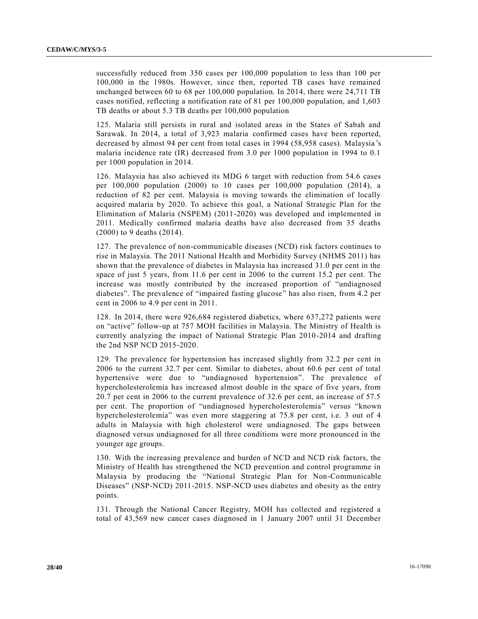successfully reduced from 350 cases per 100,000 population to less than 100 per 100,000 in the 1980s. However, since then, reported TB cases have remained unchanged between 60 to 68 per 100,000 population. In 2014, there were 24,711 TB cases notified, reflecting a notification rate of 81 per 100,000 population, and 1,603 TB deaths or about 5.3 TB deaths per 100,000 population

125. Malaria still persists in rural and isolated areas in the States of Sabah and Sarawak. In 2014, a total of 3,923 malaria confirmed cases have been reported, decreased by almost 94 per cent from total cases in 1994 (58,958 cases). Malaysia 's malaria incidence rate (IR) decreased from 3.0 per 1000 population in 1994 to 0.1 per 1000 population in 2014.

126. Malaysia has also achieved its MDG 6 target with reduction from 54.6 cases per 100,000 population (2000) to 10 cases per 100,000 population (2014), a reduction of 82 per cent. Malaysia is moving towards the elimination of locally acquired malaria by 2020. To achieve this goal, a National Strategic Plan for the Elimination of Malaria (NSPEM) (2011-2020) was developed and implemented in 2011. Medically confirmed malaria deaths have also decreased from 35 deaths (2000) to 9 deaths (2014).

127. The prevalence of non-communicable diseases (NCD) risk factors continues to rise in Malaysia. The 2011 National Health and Morbidity Survey (NHMS 2011) has shown that the prevalence of diabetes in Malaysia has increased 31.0 per cent in the space of just 5 years, from 11.6 per cent in 2006 to the current 15.2 per cent. The increase was mostly contributed by the increased proportion of "undiagnosed diabetes". The prevalence of "impaired fasting glucose" has also risen, from 4.2 per cent in 2006 to 4.9 per cent in 2011.

128. In 2014, there were 926,684 registered diabetics, where 637,272 patients were on "active" follow-up at 757 MOH facilities in Malaysia. The Ministry of Health is currently analyzing the impact of National Strategic Plan 2010-2014 and drafting the 2nd NSP NCD 2015-2020.

129. The prevalence for hypertension has increased slightly from 32.2 per cent in 2006 to the current 32.7 per cent. Similar to diabetes, about 60.6 per cent of total hypertensive were due to "undiagnosed hypertension". The prevalence of hypercholesterolemia has increased almost double in the space of five years, from 20.7 per cent in 2006 to the current prevalence of 32.6 per cent, an increase of 57.5 per cent. The proportion of "undiagnosed hypercholesterolemia" versus "known hypercholesterolemia" was even more staggering at 75.8 per cent, i.e. 3 out of 4 adults in Malaysia with high cholesterol were undiagnosed. The gaps between diagnosed versus undiagnosed for all three conditions were more pronounced in the younger age groups.

130. With the increasing prevalence and burden of NCD and NCD risk factors, the Ministry of Health has strengthened the NCD prevention and control programme in Malaysia by producing the "National Strategic Plan for Non-Communicable Diseases" (NSP-NCD) 2011-2015. NSP-NCD uses diabetes and obesity as the entry points.

131. Through the National Cancer Registry, MOH has collected and registered a total of 43,569 new cancer cases diagnosed in 1 January 2007 until 31 December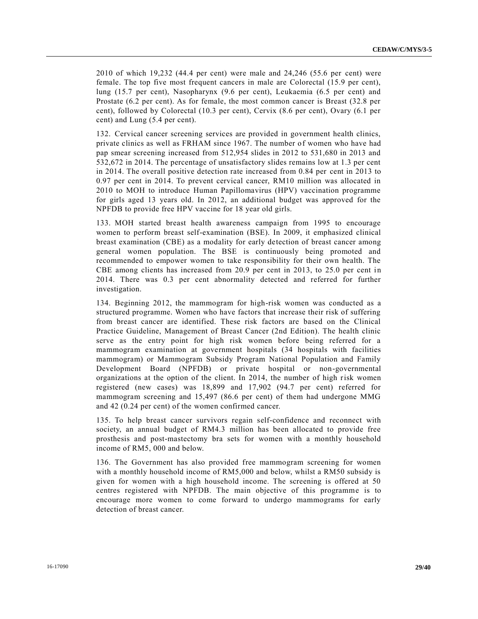2010 of which 19,232 (44.4 per cent) were male and 24,246 (55.6 per cent) were female. The top five most frequent cancers in male are Colorectal (15.9 per cent), lung (15.7 per cent), Nasopharynx (9.6 per cent), Leukaemia (6.5 per cent) and Prostate (6.2 per cent). As for female, the most common cancer is Breast (32.8 per cent), followed by Colorectal (10.3 per cent), Cervix (8.6 per cent), Ovary (6.1 per cent) and Lung (5.4 per cent).

132. Cervical cancer screening services are provided in government health clinics, private clinics as well as FRHAM since 1967. The number of women who have had pap smear screening increased from 512,954 slides in 2012 to 531,680 in 2013 and 532,672 in 2014. The percentage of unsatisfactory slides remains low at 1.3 per cent in 2014. The overall positive detection rate increased from 0.84 per cent in 2013 to 0.97 per cent in 2014. To prevent cervical cancer, RM10 million was allocated in 2010 to MOH to introduce Human Papillomavirus (HPV) vaccination programme for girls aged 13 years old. In 2012, an additional budget was approved for the NPFDB to provide free HPV vaccine for 18 year old girls.

133. MOH started breast health awareness campaign from 1995 to encourage women to perform breast self-examination (BSE). In 2009, it emphasized clinical breast examination (CBE) as a modality for early detection of breast cancer among general women population. The BSE is continuously being promoted and recommended to empower women to take responsibility for their own health. The CBE among clients has increased from 20.9 per cent in 2013, to 25.0 per cent in 2014. There was 0.3 per cent abnormality detected and referred for further investigation.

134. Beginning 2012, the mammogram for high-risk women was conducted as a structured programme. Women who have factors that increase their risk of suffering from breast cancer are identified. These risk factors are based on the Clinical Practice Guideline, Management of Breast Cancer (2nd Edition). The health clinic serve as the entry point for high risk women before being referred for a mammogram examination at government hospitals (34 hospitals with facilities mammogram) or Mammogram Subsidy Program National Population and Family Development Board (NPFDB) or private hospital or non-governmental organizations at the option of the client. In 2014, the number of high risk women registered (new cases) was 18,899 and 17,902 (94.7 per cent) referred for mammogram screening and 15,497 (86.6 per cent) of them had undergone MMG and 42 (0.24 per cent) of the women confirmed cancer.

135. To help breast cancer survivors regain self-confidence and reconnect with society, an annual budget of RM4.3 million has been allocated to provide free prosthesis and post-mastectomy bra sets for women with a monthly household income of RM5, 000 and below.

136. The Government has also provided free mammogram screening for women with a monthly household income of RM5,000 and below, whilst a RM50 subsidy is given for women with a high household income. The screening is offered at 50 centres registered with NPFDB. The main objective of this programme is to encourage more women to come forward to undergo mammograms for early detection of breast cancer.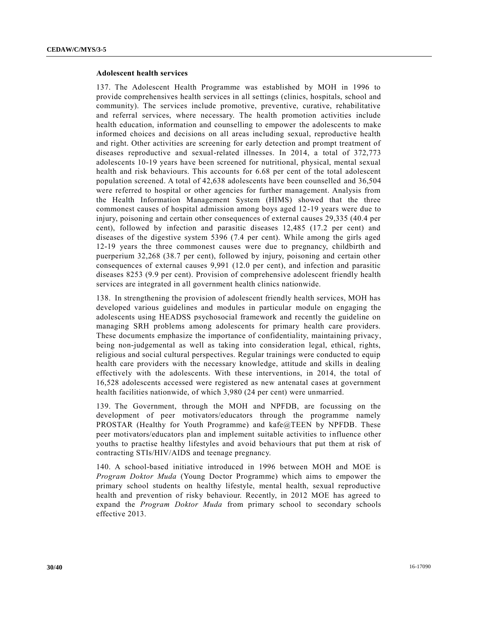### **Adolescent health services**

137. The Adolescent Health Programme was established by MOH in 1996 to provide comprehensives health services in all settings (clinics, hospitals, school and community). The services include promotive, preventive, curative, rehabilitative and referral services, where necessary. The health promotion activities include health education, information and counselling to empower the adolescents to make informed choices and decisions on all areas including sexual, reproductive health and right. Other activities are screening for early detection and prompt treatment of diseases reproductive and sexual-related illnesses. In 2014, a total of 372,773 adolescents 10-19 years have been screened for nutritional, physical, mental sexual health and risk behaviours. This accounts for 6.68 per cent of the total adolescent population screened. A total of 42,638 adolescents have been counselled and 36,504 were referred to hospital or other agencies for further management. Analysis from the Health Information Management System (HIMS) showed that the three commonest causes of hospital admission among boys aged 12-19 years were due to injury, poisoning and certain other consequences of external causes 29,335 (40.4 per cent), followed by infection and parasitic diseases 12,485 (17.2 per cent) and diseases of the digestive system 5396 (7.4 per cent). While among the girls aged 12-19 years the three commonest causes were due to pregnancy, childbirth and puerperium 32,268 (38.7 per cent), followed by injury, poisoning and certain other consequences of external causes 9,991 (12.0 per cent), and infection and parasitic diseases 8253 (9.9 per cent). Provision of comprehensive adolescent friendly health services are integrated in all government health clinics nationwide.

138. In strengthening the provision of adolescent friendly health services, MOH has developed various guidelines and modules in particular module on engaging the adolescents using HEADSS psychosocial framework and recently the guideline on managing SRH problems among adolescents for primary health care providers. These documents emphasize the importance of confidentiality, maintaining privacy, being non-judgemental as well as taking into consideration legal, ethical, rights, religious and social cultural perspectives. Regular trainings were conducted to equip health care providers with the necessary knowledge, attitude and skills in dealing effectively with the adolescents. With these interventions, in 2014, the total of 16,528 adolescents accessed were registered as new antenatal cases at government health facilities nationwide, of which 3,980 (24 per cent) were unmarried.

139. The Government, through the MOH and NPFDB, are focussing on the development of peer motivators/educators through the programme namely PROSTAR (Healthy for Youth Programme) and kafe@TEEN by NPFDB. These peer motivators/educators plan and implement suitable activities to influence other youths to practise healthy lifestyles and avoid behaviours that put them at risk of contracting STIs/HIV/AIDS and teenage pregnancy.

140. A school-based initiative introduced in 1996 between MOH and MOE is *Program Doktor Muda* (Young Doctor Programme) which aims to empower the primary school students on healthy lifestyle, mental health, sexual reproductive health and prevention of risky behaviour. Recently, in 2012 MOE has agreed to expand the *Program Doktor Muda* from primary school to secondary schools effective 2013.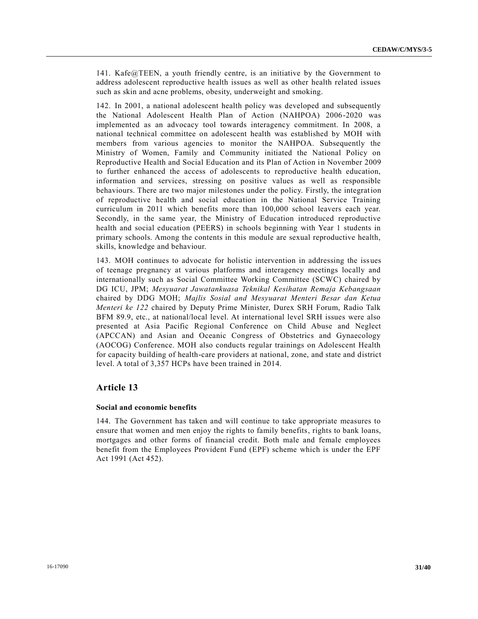141. Kafe@TEEN, a youth friendly centre, is an initiative by the Government to address adolescent reproductive health issues as well as other health related issues such as skin and acne problems, obesity, underweight and smoking.

142. In 2001, a national adolescent health policy was developed and subsequently the National Adolescent Health Plan of Action (NAHPOA) 2006-2020 was implemented as an advocacy tool towards interagency commitment. In 2008, a national technical committee on adolescent health was established by MOH with members from various agencies to monitor the NAHPOA. Subsequently the Ministry of Women, Family and Community initiated the National Policy on Reproductive Health and Social Education and its Plan of Action in November 2009 to further enhanced the access of adolescents to reproductive health education, information and services, stressing on positive values as well as responsible behaviours. There are two major milestones under the policy. Firstly, the integration of reproductive health and social education in the National Service Training curriculum in 2011 which benefits more than 100,000 school leavers each year. Secondly, in the same year, the Ministry of Education introduced reproductive health and social education (PEERS) in schools beginning with Year 1 students in primary schools. Among the contents in this module are sexual reproductive health, skills, knowledge and behaviour.

143. MOH continues to advocate for holistic intervention in addressing the issues of teenage pregnancy at various platforms and interagency meetings locally and internationally such as Social Committee Working Committee (SCWC) chaired by DG ICU, JPM; *Mesyuarat Jawatankuasa Teknikal Kesihatan Remaja Kebangsaan* chaired by DDG MOH; *Majlis Sosial and Mesyuarat Menteri Besar dan Ketua Menteri ke 122* chaired by Deputy Prime Minister, Durex SRH Forum, Radio Talk BFM 89.9, etc., at national/local level. At international level SRH issues were also presented at Asia Pacific Regional Conference on Child Abuse and Neglect (APCCAN) and Asian and Oceanic Congress of Obstetrics and Gynaecology (AOCOG) Conference. MOH also conducts regular trainings on Adolescent Health for capacity building of health-care providers at national, zone, and state and district level. A total of 3,357 HCPs have been trained in 2014.

### **Article 13**

### **Social and economic benefits**

144. The Government has taken and will continue to take appropriate measures to ensure that women and men enjoy the rights to family benefits, rights to bank loans, mortgages and other forms of financial credit. Both male and female employees benefit from the Employees Provident Fund (EPF) scheme which is under the EPF Act 1991 (Act 452).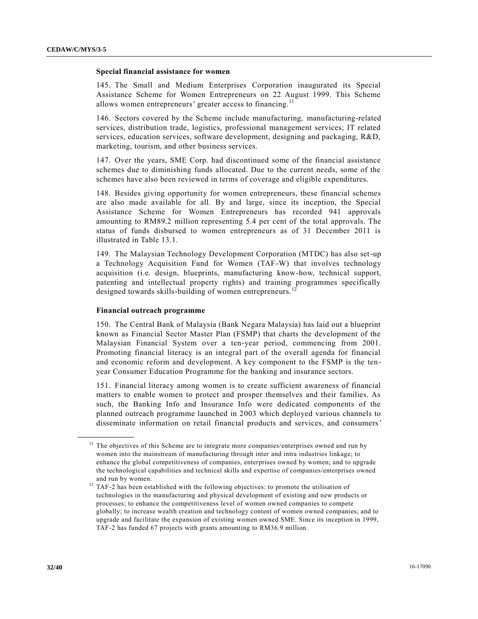#### **Special financial assistance for women**

145. The Small and Medium Enterprises Corporation inaugurated its Special Assistance Scheme for Women Entrepreneurs on 22 August 1999. This Scheme allows women entrepreneurs' greater access to financing.<sup>11</sup>

146. Sectors covered by the Scheme include manufacturing, manufacturing-related services, distribution trade, logistics, professional management services; IT related services, education services, software development, designing and packaging, R&D, marketing, tourism, and other business services.

147. Over the years, SME Corp. had discontinued some of the financial assistance schemes due to diminishing funds allocated. Due to the current needs, some of the schemes have also been reviewed in terms of coverage and eligible expenditures.

148. Besides giving opportunity for women entrepreneurs, these financial schemes are also made available for all. By and large, since its inception, the Special Assistance Scheme for Women Entrepreneurs has recorded 941 approvals amounting to RM89.2 million representing 5.4 per cent of the total approvals. The status of funds disbursed to women entrepreneurs as of 31 December 2011 is illustrated in Table 13.1.

149. The Malaysian Technology Development Corporation (MTDC) has also set-up a Technology Acquisition Fund for Women (TAF-W) that involves technology acquisition (i.e. design, blueprints, manufacturing know-how, technical support, patenting and intellectual property rights) and training programmes specifically designed towards skills-building of women entrepreneurs.<sup>12</sup>

#### **Financial outreach programme**

**\_\_\_\_\_\_\_\_\_\_\_\_\_\_\_\_\_\_**

150. The Central Bank of Malaysia (Bank Negara Malaysia) has laid out a blueprint known as Financial Sector Master Plan (FSMP) that charts the development of the Malaysian Financial System over a ten-year period, commencing from 2001. Promoting financial literacy is an integral part of the overall agenda for financial and economic reform and development. A key component to the FSMP is the tenyear Consumer Education Programme for the banking and insurance sectors.

151. Financial literacy among women is to create sufficient awareness of financial matters to enable women to protect and prosper themselves and their families. As such, the Banking Info and Insurance Info were dedicated components of the planned outreach programme launched in 2003 which deployed various channels to disseminate information on retail financial products and services, and consumers'

 $11$  The objectives of this Scheme are to integrate more companies/enterprises owned and run by women into the mainstream of manufacturing through inter and intra industries linkage; to enhance the global competitiveness of companies, enterprises owned by women; and to upgrade the technological capabilities and technical skills and expertise of companies/enterprises owned and run by women.

<sup>&</sup>lt;sup>12</sup> TAF-2 has been established with the following objectives: to promote the utilisation of technologies in the manufacturing and physical development of existing and new products or processes; to enhance the competitiveness level of women owned companies to compete globally; to increase wealth creation and technology content of women owned companies; and to upgrade and facilitate the expansion of existing women owned SME. Since its inception in 1999, TAF-2 has funded 67 projects with grants amounting to RM36.9 million.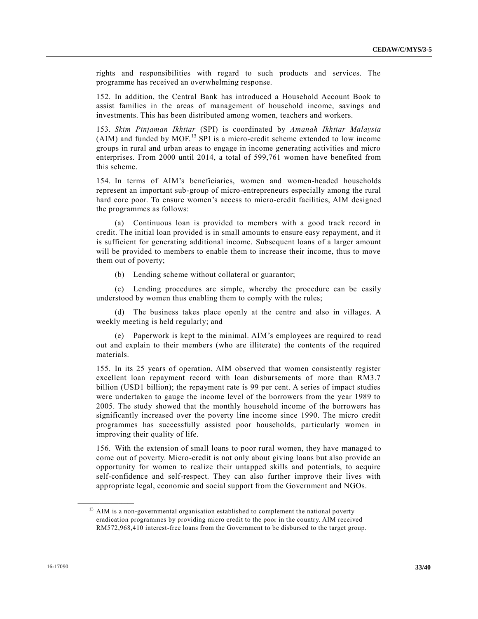rights and responsibilities with regard to such products and services. The programme has received an overwhelming response.

152. In addition, the Central Bank has introduced a Household Account Book to assist families in the areas of management of household income, savings and investments. This has been distributed among women, teachers and workers.

153. *Skim Pinjaman Ikhtiar* (SPI) is coordinated by *Amanah Ikhtiar Malaysia* (AIM) and funded by MOF.<sup>13</sup> SPI is a micro-credit scheme extended to low income groups in rural and urban areas to engage in income generating activities and micro enterprises. From 2000 until 2014, a total of 599,761 women have benefited from this scheme.

154. In terms of AIM's beneficiaries, women and women-headed households represent an important sub-group of micro-entrepreneurs especially among the rural hard core poor. To ensure women's access to micro-credit facilities, AIM designed the programmes as follows:

(a) Continuous loan is provided to members with a good track record in credit. The initial loan provided is in small amounts to ensure easy repayment, and it is sufficient for generating additional income. Subsequent loans of a larger amount will be provided to members to enable them to increase their income, thus to move them out of poverty;

(b) Lending scheme without collateral or guarantor;

(c) Lending procedures are simple, whereby the procedure can be easily understood by women thus enabling them to comply with the rules;

(d) The business takes place openly at the centre and also in villages. A weekly meeting is held regularly; and

(e) Paperwork is kept to the minimal. AIM's employees are required to read out and explain to their members (who are illiterate) the contents of the required materials.

155. In its 25 years of operation, AIM observed that women consistently register excellent loan repayment record with loan disbursements of more than RM3.7 billion (USD1 billion); the repayment rate is 99 per cent. A series of impact studies were undertaken to gauge the income level of the borrowers from the year 1989 to 2005. The study showed that the monthly household income of the borrowers has significantly increased over the poverty line income since 1990. The micro credit programmes has successfully assisted poor households, particularly women in improving their quality of life.

156. With the extension of small loans to poor rural women, they have manage d to come out of poverty. Micro-credit is not only about giving loans but also provide an opportunity for women to realize their untapped skills and potentials, to acquire self-confidence and self-respect. They can also further improve their lives with appropriate legal, economic and social support from the Government and NGOs.

**\_\_\_\_\_\_\_\_\_\_\_\_\_\_\_\_\_\_**

<sup>&</sup>lt;sup>13</sup> AIM is a non-governmental organisation established to complement the national poverty eradication programmes by providing micro credit to the poor in the country. AIM received RM572,968,410 interest-free loans from the Government to be disbursed to the target group.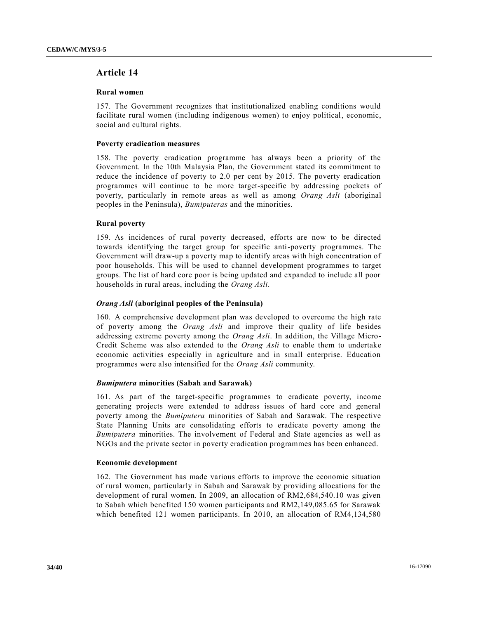### **Article 14**

### **Rural women**

157. The Government recognizes that institutionalized enabling conditions would facilitate rural women (including indigenous women) to enjoy political, economic, social and cultural rights.

### **Poverty eradication measures**

158. The poverty eradication programme has always been a priority of the Government. In the 10th Malaysia Plan, the Government stated its commitment to reduce the incidence of poverty to 2.0 per cent by 2015. The poverty eradication programmes will continue to be more target-specific by addressing pockets of poverty, particularly in remote areas as well as among *Orang Asli* (aboriginal peoples in the Peninsula), *Bumiputeras* and the minorities.

### **Rural poverty**

159. As incidences of rural poverty decreased, efforts are now to be directed towards identifying the target group for specific anti-poverty programmes. The Government will draw-up a poverty map to identify areas with high concentration of poor households. This will be used to channel development programmes to target groups. The list of hard core poor is being updated and expanded to include all poor households in rural areas, including the *Orang Asli*.

### *Orang Asli* **(aboriginal peoples of the Peninsula)**

160. A comprehensive development plan was developed to overcome the high rate of poverty among the *Orang Asli* and improve their quality of life besides addressing extreme poverty among the *Orang Asli*. In addition, the Village Micro-Credit Scheme was also extended to the *Orang Asli* to enable them to undertake economic activities especially in agriculture and in small enterprise. Education programmes were also intensified for the *Orang Asli* community.

### *Bumiputera* **minorities (Sabah and Sarawak)**

161. As part of the target-specific programmes to eradicate poverty, income generating projects were extended to address issues of hard core and general poverty among the *Bumiputera* minorities of Sabah and Sarawak. The respective State Planning Units are consolidating efforts to eradicate poverty among the *Bumiputera* minorities. The involvement of Federal and State agencies as well as NGOs and the private sector in poverty eradication programmes has been enhanced.

#### **Economic development**

162. The Government has made various efforts to improve the economic situation of rural women, particularly in Sabah and Sarawak by providing allocations for the development of rural women. In 2009, an allocation of RM2,684,540.10 was given to Sabah which benefited 150 women participants and RM2,149,085.65 for Sarawak which benefited 121 women participants. In 2010, an allocation of RM4,134,580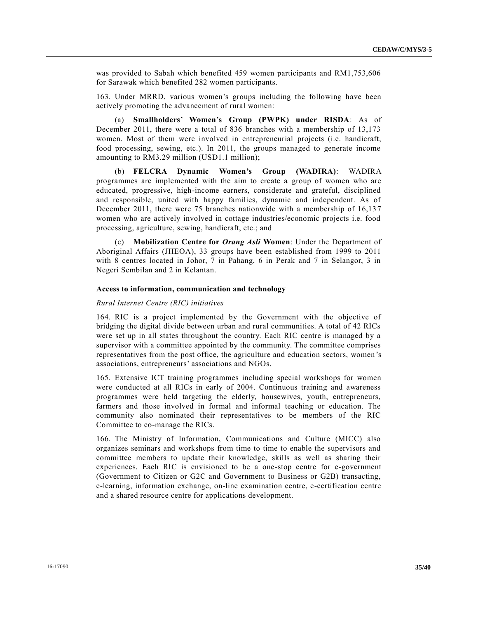was provided to Sabah which benefited 459 women participants and RM1,753,606 for Sarawak which benefited 282 women participants.

163. Under MRRD, various women's groups including the following have been actively promoting the advancement of rural women:

(a) **Smallholders' Women's Group (PWPK) under RISDA**: As of December 2011, there were a total of 836 branches with a membership of 13,173 women. Most of them were involved in entrepreneurial projects (i.e. handicraft, food processing, sewing, etc.). In 2011, the groups managed to generate income amounting to RM3.29 million (USD1.1 million);

(b) **FELCRA Dynamic Women's Group (WADIRA)**: WADIRA programmes are implemented with the aim to create a group of women who are educated, progressive, high-income earners, considerate and grateful, disciplined and responsible, united with happy families, dynamic and independent. As of December 2011, there were 75 branches nationwide with a membership of 16,137 women who are actively involved in cottage industries/economic projects i.e. food processing, agriculture, sewing, handicraft, etc.; and

(c) **Mobilization Centre for** *Orang Asli* **Women**: Under the Department of Aboriginal Affairs (JHEOA), 33 groups have been established from 1999 to 2011 with 8 centres located in Johor, 7 in Pahang, 6 in Perak and 7 in Selangor, 3 in Negeri Sembilan and 2 in Kelantan.

### **Access to information, communication and technology**

#### *Rural Internet Centre (RIC) initiatives*

164. RIC is a project implemented by the Government with the objective of bridging the digital divide between urban and rural communities. A total of 42 RICs were set up in all states throughout the country. Each RIC centre is managed by a supervisor with a committee appointed by the community. The committee comprises representatives from the post office, the agriculture and education sectors, women 's associations, entrepreneurs' associations and NGOs.

165. Extensive ICT training programmes including special workshops for women were conducted at all RICs in early of 2004. Continuous training and awareness programmes were held targeting the elderly, housewives, youth, entrepreneurs, farmers and those involved in formal and informal teaching or education. The community also nominated their representatives to be members of the RIC Committee to co-manage the RICs.

166. The Ministry of Information, Communications and Culture (MICC) also organizes seminars and workshops from time to time to enable the supervisors and committee members to update their knowledge, skills as well as sharing their experiences. Each RIC is envisioned to be a one-stop centre for e-government (Government to Citizen or G2C and Government to Business or G2B) transacting, e-learning, information exchange, on-line examination centre, e-certification centre and a shared resource centre for applications development.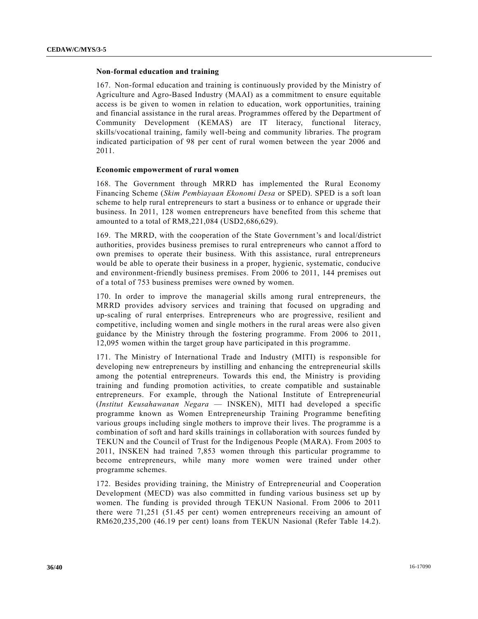### **Non-formal education and training**

167. Non-formal education and training is continuously provided by the Ministry of Agriculture and Agro-Based Industry (MAAI) as a commitment to ensure equitable access is be given to women in relation to education, work opportunities, training and financial assistance in the rural areas. Programmes offered by the Department of Community Development (KEMAS) are IT literacy, functional literacy, skills/vocational training, family well-being and community libraries. The program indicated participation of 98 per cent of rural women between the year 2006 and 2011.

### **Economic empowerment of rural women**

168. The Government through MRRD has implemented the Rural Economy Financing Scheme (*Skim Pembiayaan Ekonomi Desa* or SPED). SPED is a soft loan scheme to help rural entrepreneurs to start a business or to enhance or upgrade their business. In 2011, 128 women entrepreneurs have benefited from this scheme that amounted to a total of RM8,221,084 (USD2,686,629).

169. The MRRD, with the cooperation of the State Government's and local/district authorities, provides business premises to rural entrepreneurs who cannot a fford to own premises to operate their business. With this assistance, rural entrepreneurs would be able to operate their business in a proper, hygienic, systematic, conducive and environment-friendly business premises. From 2006 to 2011, 144 premises out of a total of 753 business premises were owned by women.

170. In order to improve the managerial skills among rural entrepreneurs, the MRRD provides advisory services and training that focused on upgrading and up-scaling of rural enterprises. Entrepreneurs who are progressive, resilient and competitive, including women and single mothers in the rural areas were also given guidance by the Ministry through the fostering programme. From 2006 to 2011, 12,095 women within the target group have participated in this programme.

171. The Ministry of International Trade and Industry (MITI) is responsible for developing new entrepreneurs by instilling and enhancing the entrepreneurial skills among the potential entrepreneurs. Towards this end, the Ministry is providing training and funding promotion activities, to create compatible and sustainable entrepreneurs. For example, through the National Institute of Entrepreneurial (*Institut Keusahawanan Negara* — INSKEN), MITI had developed a specific programme known as Women Entrepreneurship Training Programme benefiting various groups including single mothers to improve their lives. The programme is a combination of soft and hard skills trainings in collaboration with sources funded by TEKUN and the Council of Trust for the Indigenous People (MARA). From 2005 to 2011, INSKEN had trained 7,853 women through this particular programme to become entrepreneurs, while many more women were trained under other programme schemes.

172. Besides providing training, the Ministry of Entrepreneurial and Cooperation Development (MECD) was also committed in funding various business set up by women. The funding is provided through TEKUN Nasional. From 2006 to 2011 there were 71,251 (51.45 per cent) women entrepreneurs receiving an amount of RM620,235,200 (46.19 per cent) loans from TEKUN Nasional (Refer Table 14.2).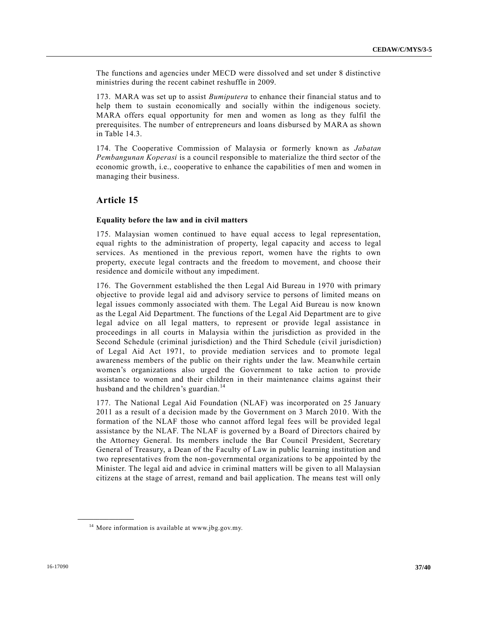The functions and agencies under MECD were dissolved and set under 8 distinctive ministries during the recent cabinet reshuffle in 2009.

173. MARA was set up to assist *Bumiputera* to enhance their financial status and to help them to sustain economically and socially within the indigenous society. MARA offers equal opportunity for men and women as long as they fulfil the prerequisites. The number of entrepreneurs and loans disbursed by MARA as shown in Table 14.3.

174. The Cooperative Commission of Malaysia or formerly known as *Jabatan Pembangunan Koperasi* is a council responsible to materialize the third sector of the economic growth, i.e., cooperative to enhance the capabilities of men and women in managing their business.

### **Article 15**

### **Equality before the law and in civil matters**

175. Malaysian women continued to have equal access to legal representation, equal rights to the administration of property, legal capacity and access to legal services. As mentioned in the previous report, women have the rights to own property, execute legal contracts and the freedom to movement, and choose their residence and domicile without any impediment.

176. The Government established the then Legal Aid Bureau in 1970 with primary objective to provide legal aid and advisory service to persons of limited means on legal issues commonly associated with them. The Legal Aid Bureau is now known as the Legal Aid Department. The functions of the Legal Aid Department are to give legal advice on all legal matters, to represent or provide legal assistance in proceedings in all courts in Malaysia within the jurisdiction as provided in the Second Schedule (criminal jurisdiction) and the Third Schedule (civil jurisdiction) of Legal Aid Act 1971, to provide mediation services and to promote legal awareness members of the public on their rights under the law. Meanwhile certain women's organizations also urged the Government to take action to provide assistance to women and their children in their maintenance claims against their husband and the children's guardian.<sup>14</sup>

177. The National Legal Aid Foundation (NLAF) was incorporated on 25 January 2011 as a result of a decision made by the Government on 3 March 2010. With the formation of the NLAF those who cannot afford legal fees will be provided legal assistance by the NLAF. The NLAF is governed by a Board of Directors chaired by the Attorney General. Its members include the Bar Council President, Secretary General of Treasury, a Dean of the Faculty of Law in public learning institution and two representatives from the non-governmental organizations to be appointed by the Minister. The legal aid and advice in criminal matters will be given to all Malaysian citizens at the stage of arrest, remand and bail application. The means test will only

**\_\_\_\_\_\_\_\_\_\_\_\_\_\_\_\_\_\_**

<sup>&</sup>lt;sup>14</sup> More information is available at www.jbg.gov.my.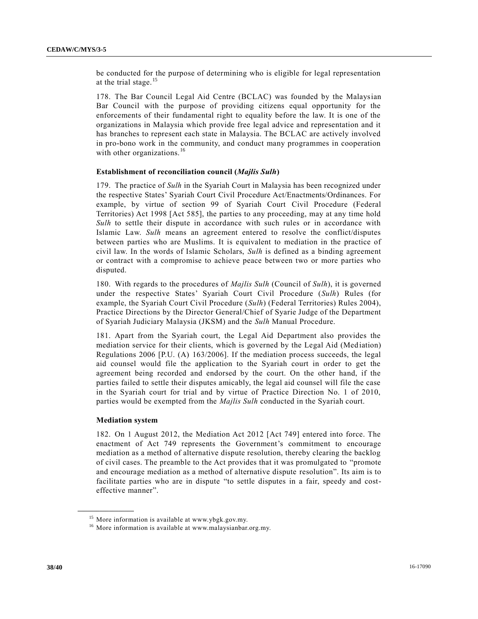be conducted for the purpose of determining who is eligible for legal representation at the trial stage.<sup>15</sup>

178. The Bar Council Legal Aid Centre (BCLAC) was founded by the Malaysian Bar Council with the purpose of providing citizens equal opportunity for the enforcements of their fundamental right to equality before the law. It is one of the organizations in Malaysia which provide free legal advice and representation and it has branches to represent each state in Malaysia. The BCLAC are actively involved in pro-bono work in the community, and conduct many programmes in cooperation with other organizations.<sup>16</sup>

### **Establishment of reconciliation council (***Majlis Sulh***)**

179. The practice of *Sulh* in the Syariah Court in Malaysia has been recognized under the respective States' Syariah Court Civil Procedure Act/Enactments/Ordinances. For example, by virtue of section 99 of Syariah Court Civil Procedure (Federal Territories) Act 1998 [Act 585], the parties to any proceeding, may at any time hold *Sulh* to settle their dispute in accordance with such rules or in accordance with Islamic Law. *Sulh* means an agreement entered to resolve the conflict/disputes between parties who are Muslims. It is equivalent to mediation in the practice of civil law. In the words of Islamic Scholars, *Sulh* is defined as a binding agreement or contract with a compromise to achieve peace between two or more parties who disputed.

180. With regards to the procedures of *Majlis Sulh* (Council of *Sulh*), it is governed under the respective States' Syariah Court Civil Procedure (*Sulh*) Rules (for example, the Syariah Court Civil Procedure (*Sulh*) (Federal Territories) Rules 2004), Practice Directions by the Director General/Chief of Syarie Judge of the Department of Syariah Judiciary Malaysia (JKSM) and the *Sulh* Manual Procedure.

181. Apart from the Syariah court, the Legal Aid Department also provides the mediation service for their clients, which is governed by the Legal Aid (Med iation) Regulations 2006 [P.U. (A) 163/2006]. If the mediation process succeeds, the legal aid counsel would file the application to the Syariah court in order to get the agreement being recorded and endorsed by the court. On the other hand, if the parties failed to settle their disputes amicably, the legal aid counsel will file the case in the Syariah court for trial and by virtue of Practice Direction No. 1 of 2010, parties would be exempted from the *Majlis Sulh* conducted in the Syariah court.

### **Mediation system**

**\_\_\_\_\_\_\_\_\_\_\_\_\_\_\_\_\_\_**

182. On 1 August 2012, the Mediation Act 2012 [Act 749] entered into force. The enactment of Act 749 represents the Government's commitment to encourage mediation as a method of alternative dispute resolution, thereby clearing the backlog of civil cases. The preamble to the Act provides that it was promulgated to "promote and encourage mediation as a method of alternative dispute resolution". Its aim is to facilitate parties who are in dispute "to settle disputes in a fair, speedy and costeffective manner".

<sup>15</sup> More information is available at www.ybgk.gov.my.

<sup>&</sup>lt;sup>16</sup> More information is available at www.malaysianbar.org.my.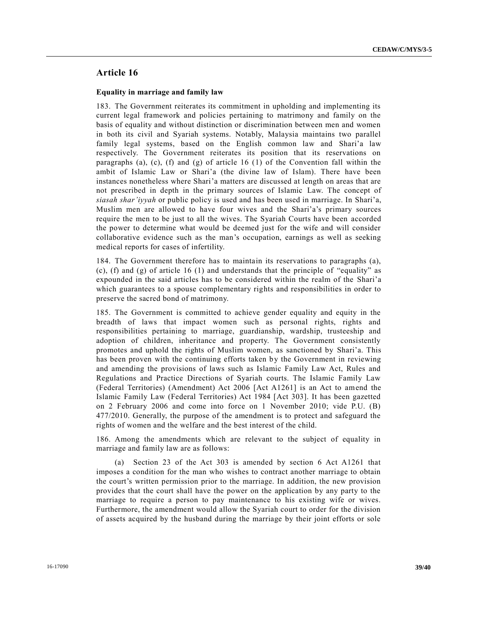### **Article 16**

### **Equality in marriage and family law**

183. The Government reiterates its commitment in upholding and implementing its current legal framework and policies pertaining to matrimony and family on the basis of equality and without distinction or discrimination between men and women in both its civil and Syariah systems. Notably, Malaysia maintains two parallel family legal systems, based on the English common law and Shari'a law respectively. The Government reiterates its position that its reservations on paragraphs (a), (c), (f) and (g) of article 16 (1) of the Convention fall within the ambit of Islamic Law or Shari'a (the divine law of Islam). There have been instances nonetheless where Shari'a matters are discussed at length on areas that are not prescribed in depth in the primary sources of Islamic Law. The concept of *siasah shar'iyyah* or public policy is used and has been used in marriage. In Shari'a, Muslim men are allowed to have four wives and the Shari'a's primary sources require the men to be just to all the wives. The Syariah Courts have been accorded the power to determine what would be deemed just for the wife and will consider collaborative evidence such as the man's occupation, earnings as well as seeking medical reports for cases of infertility.

184. The Government therefore has to maintain its reservations to paragraphs (a), (c), (f) and (g) of article 16 (1) and understands that the principle of "equality" as expounded in the said articles has to be considered within the realm of the Shari'a which guarantees to a spouse complementary rights and responsibilities in order to preserve the sacred bond of matrimony.

185. The Government is committed to achieve gender equality and equity in the breadth of laws that impact women such as personal rights, rights and responsibilities pertaining to marriage, guardianship, wardship, trusteeship and adoption of children, inheritance and property. The Government consistently promotes and uphold the rights of Muslim women, as sanctioned by Shari'a. This has been proven with the continuing efforts taken by the Government in reviewing and amending the provisions of laws such as Islamic Family Law Act, Rules and Regulations and Practice Directions of Syariah courts. The Islamic Family Law (Federal Territories) (Amendment) Act 2006 [Act A1261] is an Act to amend the Islamic Family Law (Federal Territories) Act 1984 [Act 303]. It has been gazetted on 2 February 2006 and come into force on 1 November 2010; vide P.U. (B) 477/2010. Generally, the purpose of the amendment is to protect and safeguard the rights of women and the welfare and the best interest of the child.

186. Among the amendments which are relevant to the subject of equality in marriage and family law are as follows:

(a) Section 23 of the Act 303 is amended by section 6 Act A1261 that imposes a condition for the man who wishes to contract another marriage to obtain the court's written permission prior to the marriage. In addition, the new provision provides that the court shall have the power on the application by any party to the marriage to require a person to pay maintenance to his existing wife or wives. Furthermore, the amendment would allow the Syariah court to order for the division of assets acquired by the husband during the marriage by their joint efforts or sole